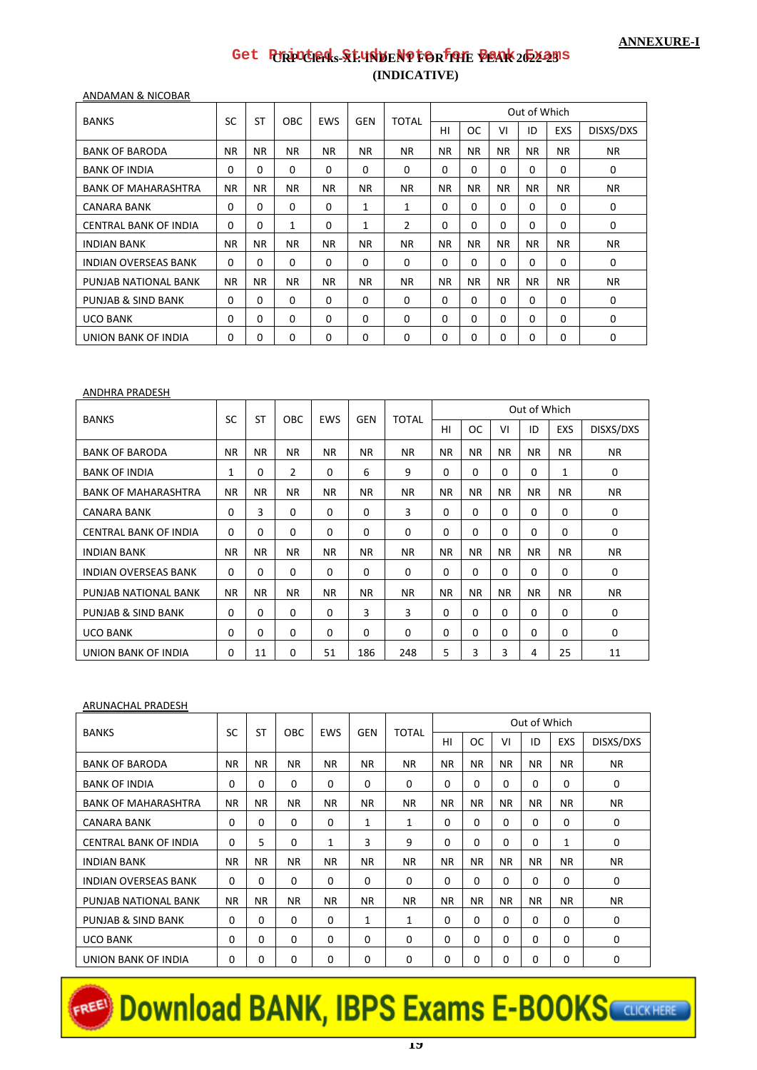# **CRP-Clerks-XI: INDENT FOR THE YEAR 2022-23 [Get Printed Study Note for Bank Exams](https://bankexamportal.com/study-kit)(INDICATIVE)**

ANDAMAN & NICOBAR

|                              | SC          | <b>ST</b>   | <b>OBC</b>   | <b>EWS</b> | <b>GEN</b>   | <b>TOTAL</b> |           |           |           | Out of Which |            |           |
|------------------------------|-------------|-------------|--------------|------------|--------------|--------------|-----------|-----------|-----------|--------------|------------|-----------|
| <b>BANKS</b>                 |             |             |              |            |              |              | HI        | <b>OC</b> | VI        | ID           | <b>EXS</b> | DISXS/DXS |
| <b>BANK OF BARODA</b>        | <b>NR</b>   | <b>NR</b>   | NR.          | NR.        | NR.          | <b>NR</b>    | <b>NR</b> | <b>NR</b> | NR.       | <b>NR</b>    | NR.        | NR.       |
| <b>BANK OF INDIA</b>         | $\Omega$    | $\Omega$    | 0            | $\Omega$   | $\Omega$     | $\Omega$     | 0         | $\Omega$  | $\Omega$  | $\Omega$     | $\Omega$   | 0         |
| <b>BANK OF MAHARASHTRA</b>   | <b>NR</b>   | <b>NR</b>   | NR.          | <b>NR</b>  | <b>NR</b>    | NR.          | <b>NR</b> | <b>NR</b> | <b>NR</b> | <b>NR</b>    | <b>NR</b>  | <b>NR</b> |
| <b>CANARA BANK</b>           | 0           | $\Omega$    | $\Omega$     | $\Omega$   | 1            | 1            | 0         | $\Omega$  | $\Omega$  | $\Omega$     | $\Omega$   | 0         |
| <b>CENTRAL BANK OF INDIA</b> | $\Omega$    | $\Omega$    | $\mathbf{1}$ | $\Omega$   | $\mathbf{1}$ | 2            | $\Omega$  | $\Omega$  | $\Omega$  | 0            | $\Omega$   | 0         |
| <b>INDIAN BANK</b>           | NR.         | <b>NR</b>   | NR.          | NR.        | NR.          | NR.          | NR.       | <b>NR</b> | <b>NR</b> | NR.          | <b>NR</b>  | NR.       |
| <b>INDIAN OVERSEAS BANK</b>  | 0           | 0           | 0            | $\Omega$   | 0            | $\mathbf 0$  | 0         | $\Omega$  | $\Omega$  | $\Omega$     | $\Omega$   | 0         |
| PUNJAB NATIONAL BANK         | <b>NR</b>   | <b>NR</b>   | NR.          | NR.        | NR.          | NR.          | <b>NR</b> | <b>NR</b> | NR.       | NR.          | <b>NR</b>  | NR.       |
| PUNJAB & SIND BANK           | $\mathbf 0$ | $\mathbf 0$ | 0            | $\Omega$   | $\Omega$     | $\Omega$     | $\Omega$  | $\Omega$  | $\Omega$  | $\Omega$     | $\Omega$   | 0         |
| <b>UCO BANK</b>              | $\Omega$    | 0           | 0            | $\Omega$   | 0            | $\Omega$     | $\Omega$  | $\Omega$  | $\Omega$  | $\Omega$     | 0          | 0         |
| UNION BANK OF INDIA          | $\Omega$    | 0           | 0            | $\Omega$   | 0            | $\Omega$     | 0         | 0         | $\Omega$  | $\Omega$     | 0          | 0         |

#### ANDHRA PRADESH

| <b>BANKS</b>                 | SC          | <b>ST</b>   | <b>OBC</b>  | <b>EWS</b> | <b>GEN</b> | <b>TOTAL</b> |             |           |           | Out of Which |            |             |
|------------------------------|-------------|-------------|-------------|------------|------------|--------------|-------------|-----------|-----------|--------------|------------|-------------|
|                              |             |             |             |            |            |              | HI          | <b>OC</b> | VI        | ID           | <b>EXS</b> | DISXS/DXS   |
| <b>BANK OF BARODA</b>        | <b>NR</b>   | NR.         | ΝR          | NR.        | NR.        | NR.          | NR.         | <b>NR</b> | <b>NR</b> | NR.          | NR.        | NR.         |
| <b>BANK OF INDIA</b>         | 1           | 0           | 2           | $\Omega$   | 6          | 9            | $\Omega$    | $\Omega$  | $\Omega$  | $\Omega$     | 1          | $\mathbf 0$ |
| <b>BANK OF MAHARASHTRA</b>   | NR.         | NR.         | NR.         | NR.        | <b>NR</b>  | <b>NR</b>    | NR.         | NR.       | <b>NR</b> | NR.          | NR.        | NR.         |
| CANARA BANK                  | $\Omega$    | 3           | $\Omega$    | $\Omega$   | $\Omega$   | 3            | $\Omega$    | $\Omega$  | $\Omega$  | $\Omega$     | 0          | 0           |
| <b>CENTRAL BANK OF INDIA</b> | 0           | 0           | 0           | $\Omega$   | $\Omega$   | 0            | $\mathbf 0$ | $\Omega$  | $\Omega$  | $\Omega$     | 0          | 0           |
| <b>INDIAN BANK</b>           | NR.         | <b>NR</b>   | NR.         | NR.        | NR.        | <b>NR</b>    | NR.         | <b>NR</b> | <b>NR</b> | NR.          | NR.        | NR.         |
| <b>INDIAN OVERSEAS BANK</b>  | $\mathbf 0$ | $\Omega$    | $\Omega$    | $\Omega$   | 0          | $\Omega$     | $\Omega$    | $\Omega$  | $\Omega$  | $\Omega$     | 0          | 0           |
| PUNJAB NATIONAL BANK         | NR.         | NR.         | ΝR          | NR.        | NR.        | NR.          | NR.         | <b>NR</b> | NR.       | NR.          | NR.        | NR.         |
| PUNJAB & SIND BANK           | $\mathbf 0$ | $\mathbf 0$ | $\mathbf 0$ | $\Omega$   | 3          | 3            | $\Omega$    | $\Omega$  | $\Omega$  | $\Omega$     | 0          | $\mathbf 0$ |
| <b>UCO BANK</b>              | $\Omega$    | $\Omega$    | $\Omega$    | $\Omega$   | $\Omega$   | $\Omega$     | $\Omega$    | $\Omega$  | $\Omega$  | $\Omega$     | $\Omega$   | 0           |
| UNION BANK OF INDIA          | 0           | 11          | $\Omega$    | 51         | 186        | 248          | 5           | 3         | 3         | 4            | 25         | 11          |

#### ARUNACHAL PRADESH

| <b>BANKS</b>                 | SC          | <b>ST</b> | <b>OBC</b>  | <b>EWS</b>   | <b>GEN</b> | TOTAL       |             |             |           | Out of Which |              |           |
|------------------------------|-------------|-----------|-------------|--------------|------------|-------------|-------------|-------------|-----------|--------------|--------------|-----------|
|                              |             |           |             |              |            |             | HI          | <b>OC</b>   | VI        | ID           | <b>EXS</b>   | DISXS/DXS |
| <b>BANK OF BARODA</b>        | <b>NR</b>   | <b>NR</b> | NR.         | <b>NR</b>    | <b>NR</b>  | <b>NR</b>   | <b>NR</b>   | <b>NR</b>   | <b>NR</b> | <b>NR</b>    | <b>NR</b>    | NR.       |
| <b>BANK OF INDIA</b>         | $\Omega$    | $\Omega$  | $\Omega$    | 0            | $\Omega$   | $\Omega$    | $\Omega$    | $\Omega$    | $\Omega$  | $\Omega$     | $\Omega$     | 0         |
| <b>BANK OF MAHARASHTRA</b>   | <b>NR</b>   | <b>NR</b> | <b>NR</b>   | <b>NR</b>    | <b>NR</b>  | <b>NR</b>   | NR.         | <b>NR</b>   | <b>NR</b> | NR.          | <b>NR</b>    | NR.       |
| <b>CANARA BANK</b>           | $\mathbf 0$ | $\Omega$  | $\Omega$    | $\Omega$     | 1          | 1           | $\Omega$    | $\Omega$    | $\Omega$  | $\Omega$     | $\Omega$     | 0         |
| <b>CENTRAL BANK OF INDIA</b> | $\Omega$    | 5         | $\Omega$    | $\mathbf{1}$ | 3          | 9           | $\Omega$    | 0           | 0         | $\Omega$     | $\mathbf{1}$ | $\Omega$  |
| <b>INDIAN BANK</b>           | <b>NR</b>   | NR.       | NR.         | <b>NR</b>    | NR.        | <b>NR</b>   | <b>NR</b>   | <b>NR</b>   | <b>NR</b> | NR.          | <b>NR</b>    | NR.       |
| <b>INDIAN OVERSEAS BANK</b>  | $\mathbf 0$ | 0         | $\mathbf 0$ | $\Omega$     | $\Omega$   | $\mathbf 0$ | $\mathbf 0$ | $\mathbf 0$ | $\Omega$  | $\Omega$     | $\Omega$     | 0         |
| PUNJAB NATIONAL BANK         | <b>NR</b>   | NR.       | NR.         | <b>NR</b>    | NR.        | <b>NR</b>   | <b>NR</b>   | <b>NR</b>   | <b>NR</b> | NR.          | <b>NR</b>    | NR.       |
| PUNJAB & SIND BANK           | $\mathbf 0$ | 0         | $\Omega$    | $\Omega$     | 1          | 1           | $\Omega$    | $\Omega$    | $\Omega$  | $\Omega$     | $\Omega$     | 0         |
| <b>UCO BANK</b>              | 0           | $\Omega$  | $\Omega$    | 0            | 0          | 0           | $\Omega$    | $\Omega$    | $\Omega$  | $\Omega$     | $\Omega$     | 0         |
| UNION BANK OF INDIA          | $\Omega$    | 0         | $\Omega$    | 0            | $\Omega$   | 0           | $\Omega$    | $\mathbf 0$ | $\Omega$  | $\Omega$     | $\Omega$     | 0         |

# EREE<sup>D</sup> Download BANK, IBPS Exams E-BOOKS CULCK HERE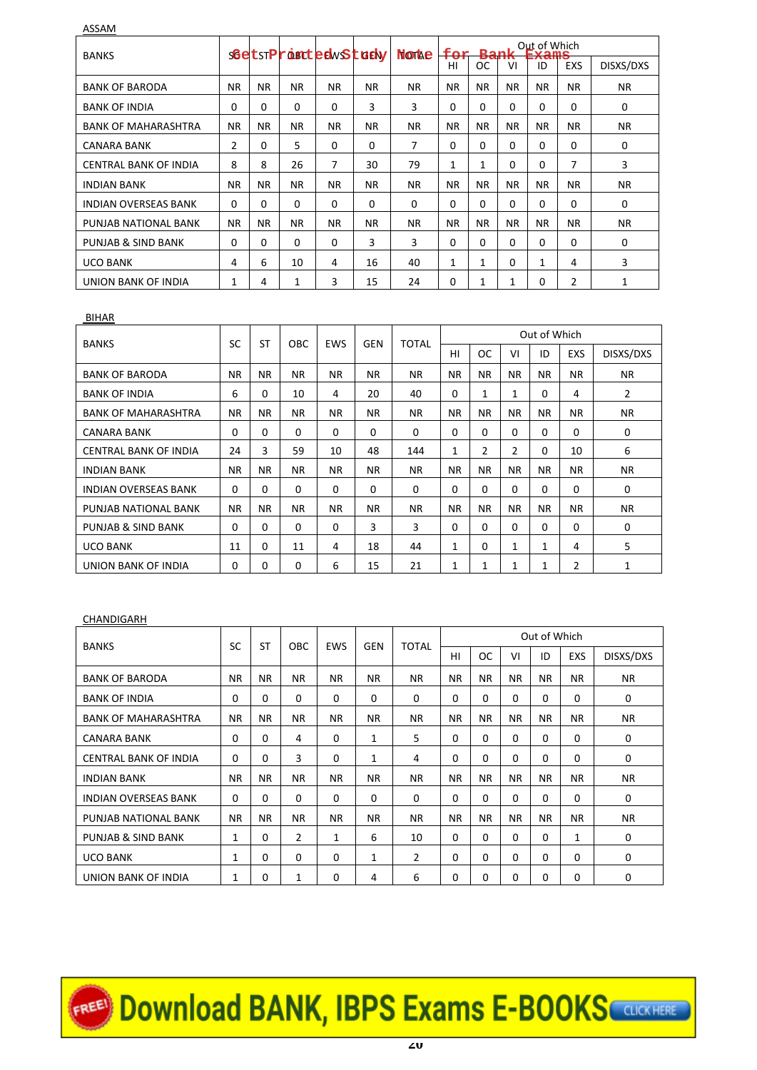ASSAM

| <b>BANKS</b>                 |                |           |              | <b>SGetSTProBCtedwStGdy</b> |           | <b>Nortae</b> | for         | <b>Bank</b> |           | Out of Which<br>Table |                |             |
|------------------------------|----------------|-----------|--------------|-----------------------------|-----------|---------------|-------------|-------------|-----------|-----------------------|----------------|-------------|
|                              |                |           |              |                             |           |               | HI          | <b>OC</b>   | VI        | -7.4-1116<br>ID       | <b>EXS</b>     | DISXS/DXS   |
| <b>BANK OF BARODA</b>        | <b>NR</b>      | <b>NR</b> | <b>NR</b>    | <b>NR</b>                   | <b>NR</b> | <b>NR</b>     | <b>NR</b>   | <b>NR</b>   | <b>NR</b> | <b>NR</b>             | <b>NR</b>      | <b>NR</b>   |
| <b>BANK OF INDIA</b>         | $\Omega$       | 0         | $\Omega$     | $\Omega$                    | 3         | 3             | $\Omega$    | 0           | 0         | $\Omega$              | $\Omega$       | 0           |
| <b>BANK OF MAHARASHTRA</b>   | NR.            | <b>NR</b> | <b>NR</b>    | NR.                         | NR.       | <b>NR</b>     | NR.         | <b>NR</b>   | <b>NR</b> | NR.                   | NR.            | <b>NR</b>   |
| CANARA BANK                  | $\overline{2}$ | 0         | 5            | $\Omega$                    | $\Omega$  | 7             | $\Omega$    | 0           | 0         | $\Omega$              | $\Omega$       | $\mathbf 0$ |
| <b>CENTRAL BANK OF INDIA</b> | 8              | 8         | 26           | 7                           | 30        | 79            | 1           | 1           | 0         | $\Omega$              | 7              | 3           |
| <b>INDIAN BANK</b>           | <b>NR</b>      | <b>NR</b> | <b>NR</b>    | <b>NR</b>                   | <b>NR</b> | <b>NR</b>     | <b>NR</b>   | <b>NR</b>   | <b>NR</b> | <b>NR</b>             | <b>NR</b>      | <b>NR</b>   |
| <b>INDIAN OVERSEAS BANK</b>  | 0              | 0         | 0            | $\Omega$                    | $\Omega$  | $\Omega$      | $\Omega$    | 0           | $\Omega$  | $\Omega$              | $\Omega$       | 0           |
| PUNJAB NATIONAL BANK         | NR.            | <b>NR</b> | <b>NR</b>    | NR.                         | NR.       | <b>NR</b>     | NR.         | <b>NR</b>   | <b>NR</b> | NR.                   | NR.            | <b>NR</b>   |
| PUNJAB & SIND BANK           | 0              | 0         | $\mathbf 0$  | $\Omega$                    | 3         | 3             | $\mathbf 0$ | 0           | 0         | $\Omega$              | 0              | 0           |
| <b>UCO BANK</b>              | 4              | 6         | 10           | 4                           | 16        | 40            | 1           | 1           | 0         | $\mathbf{1}$          | 4              | 3           |
| UNION BANK OF INDIA          | 1              | 4         | $\mathbf{1}$ | 3                           | 15        | 24            | $\Omega$    | 1           | 1         | 0                     | $\overline{2}$ | 1           |

#### BIHAR

|                              | SC          | <b>ST</b>   | <b>OBC</b>  |           | <b>GEN</b> | <b>TOTAL</b> |             |                |                | Out of Which |            |             |
|------------------------------|-------------|-------------|-------------|-----------|------------|--------------|-------------|----------------|----------------|--------------|------------|-------------|
| <b>BANKS</b>                 |             |             |             | EWS       |            |              | HI          | <b>OC</b>      | VI             | ID           | <b>EXS</b> | DISXS/DXS   |
| <b>BANK OF BARODA</b>        | <b>NR</b>   | <b>NR</b>   | NR.         | NR.       | <b>NR</b>  | <b>NR</b>    | NR.         | <b>NR</b>      | <b>NR</b>      | <b>NR</b>    | NR.        | NR.         |
| <b>BANK OF INDIA</b>         | 6           | $\Omega$    | 10          | 4         | 20         | 40           | $\mathbf 0$ | 1              | 1              | $\Omega$     | 4          | 2           |
| <b>BANK OF MAHARASHTRA</b>   | <b>NR</b>   | <b>NR</b>   | NR.         | <b>NR</b> | <b>NR</b>  | <b>NR</b>    | NR.         | <b>NR</b>      | <b>NR</b>      | <b>NR</b>    | <b>NR</b>  | NR.         |
| <b>CANARA BANK</b>           | $\mathbf 0$ | $\mathbf 0$ | 0           | $\Omega$  | $\Omega$   | $\Omega$     | $\mathbf 0$ | $\mathbf 0$    | $\Omega$       | $\Omega$     | $\Omega$   | 0           |
| <b>CENTRAL BANK OF INDIA</b> | 24          | 3           | 59          | 10        | 48         | 144          | 1           | $\overline{2}$ | $\overline{2}$ | $\Omega$     | 10         | 6           |
| <b>INDIAN BANK</b>           | <b>NR</b>   | <b>NR</b>   | NR.         | <b>NR</b> | <b>NR</b>  | <b>NR</b>    | NR.         | <b>NR</b>      | <b>NR</b>      | <b>NR</b>    | <b>NR</b>  | <b>NR</b>   |
| <b>INDIAN OVERSEAS BANK</b>  | $\mathbf 0$ | $\Omega$    | 0           | $\Omega$  | 0          | 0            | $\mathbf 0$ | $\Omega$       | $\Omega$       | $\Omega$     | $\Omega$   | 0           |
| PUNJAB NATIONAL BANK         | <b>NR</b>   | <b>NR</b>   | NR.         | <b>NR</b> | <b>NR</b>  | <b>NR</b>    | <b>NR</b>   | <b>NR</b>      | <b>NR</b>      | <b>NR</b>    | <b>NR</b>  | <b>NR</b>   |
| PUNJAB & SIND BANK           | $\Omega$    | 0           | $\Omega$    | $\Omega$  | 3          | 3            | $\Omega$    | $\Omega$       | $\Omega$       | $\Omega$     | $\Omega$   | $\mathbf 0$ |
| <b>UCO BANK</b>              | 11          | 0           | 11          | 4         | 18         | 44           | 1           | $\Omega$       | $\mathbf{1}$   | $\mathbf{1}$ | 4          | 5           |
| UNION BANK OF INDIA          | $\mathbf 0$ | 0           | $\mathbf 0$ | 6         | 15         | 21           | 1           | 1              | 1              | 1            | 2          | 1           |

### **CHANDIGARH**

|                              | SC          |             |                |          |           | <b>TOTAL</b> |              |             |           | Out of Which |            |           |
|------------------------------|-------------|-------------|----------------|----------|-----------|--------------|--------------|-------------|-----------|--------------|------------|-----------|
| <b>BANKS</b>                 |             | <b>ST</b>   | <b>OBC</b>     | EWS      | GEN       |              | HI           | <b>OC</b>   | VI        | ID           | <b>EXS</b> | DISXS/DXS |
| <b>BANK OF BARODA</b>        | <b>NR</b>   | <b>NR</b>   | NR.            | NR.      | NR.       | <b>NR</b>    | <b>NR</b>    | NR.         | <b>NR</b> | <b>NR</b>    | NR.        | NR.       |
| <b>BANK OF INDIA</b>         | 0           | $\mathbf 0$ | 0              | $\Omega$ | 0         | $\Omega$     | $\Omega$     | $\mathbf 0$ | $\Omega$  | $\Omega$     | $\Omega$   | 0         |
| <b>BANK OF MAHARASHTRA</b>   | <b>NR</b>   | <b>NR</b>   | NR.            | NR.      | NR.       | <b>NR</b>    | <b>NR</b>    | <b>NR</b>   | <b>NR</b> | NR.          | NR.        | <b>NR</b> |
| <b>CANARA BANK</b>           | $\mathbf 0$ | $\Omega$    | 4              | 0        | 1         | 5            | $\Omega$     | $\Omega$    | $\Omega$  | $\Omega$     | $\Omega$   | 0         |
| <b>CENTRAL BANK OF INDIA</b> | $\mathbf 0$ | $\mathbf 0$ | 3              | $\Omega$ | 1         | 4            | $\mathbf 0$  | $\Omega$    | $\Omega$  | $\Omega$     | $\Omega$   | 0         |
| <b>INDIAN BANK</b>           | <b>NR</b>   | <b>NR</b>   | NR.            | NR.      | <b>NR</b> | <b>NR</b>    | <b>NR</b>    | NR.         | <b>NR</b> | <b>NR</b>    | <b>NR</b>  | NR.       |
| <b>INDIAN OVERSEAS BANK</b>  | $\mathbf 0$ | $\mathbf 0$ | $\mathbf 0$    | $\Omega$ | 0         | 0            | $\mathbf{0}$ | $\Omega$    | $\Omega$  | $\Omega$     | $\Omega$   | 0         |
| PUNJAB NATIONAL BANK         | <b>NR</b>   | <b>NR</b>   | NR.            | NR.      | NR.       | <b>NR</b>    | <b>NR</b>    | <b>NR</b>   | <b>NR</b> | <b>NR</b>    | NR.        | NR.       |
| PUNJAB & SIND BANK           | 1           | $\mathbf 0$ | $\overline{2}$ | 1        | 6         | 10           | $\mathbf 0$  | $\mathbf 0$ | $\Omega$  | $\Omega$     | 1          | 0         |
| <b>UCO BANK</b>              | 1           | $\Omega$    | $\Omega$       | $\Omega$ | 1         | 2            | $\Omega$     | $\Omega$    | $\Omega$  | $\Omega$     | $\Omega$   | 0         |
| <b>UNION BANK OF INDIA</b>   | 1           | 0           | 1              | 0        | 4         | 6            | $\Omega$     | $\mathbf 0$ | 0         | $\Omega$     | $\Omega$   | $\Omega$  |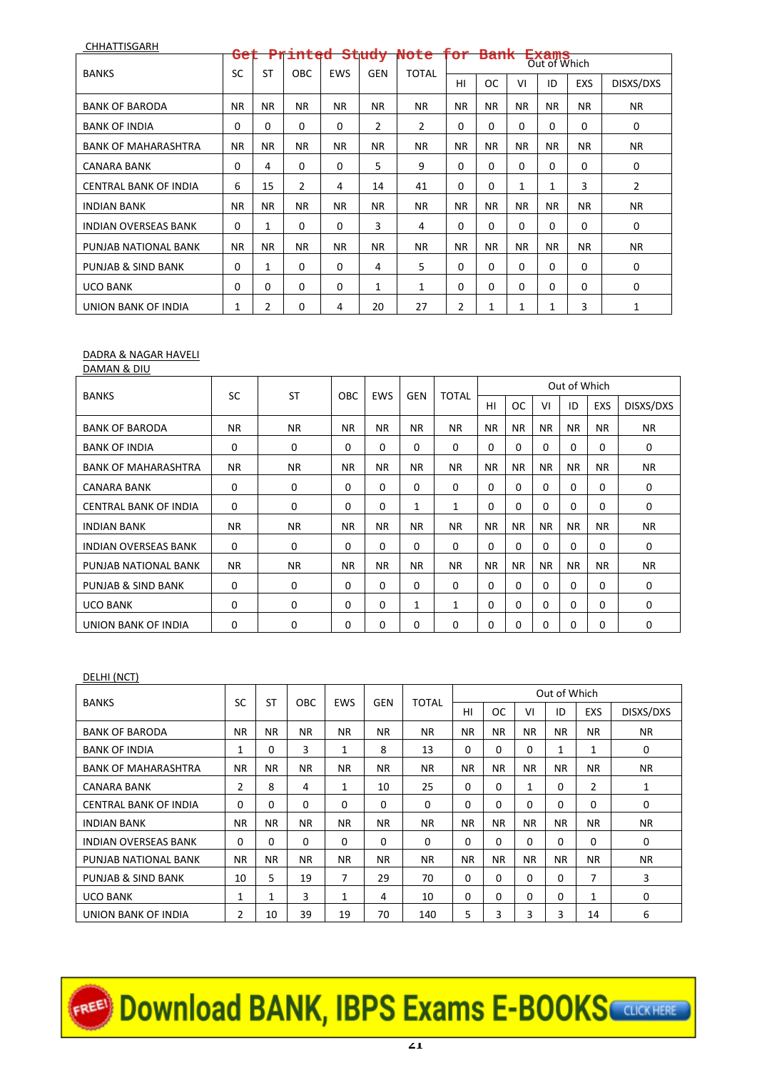| CHHATTISGARH                 |             |           |             |            |            |              |             |           |           |                       |             |             |
|------------------------------|-------------|-----------|-------------|------------|------------|--------------|-------------|-----------|-----------|-----------------------|-------------|-------------|
|                              | Get         |           | Printed     |            | Study      | Note         | ror         | Bank      |           | Exams<br>Out of Which |             |             |
| <b>BANKS</b>                 | SC          | <b>ST</b> | <b>OBC</b>  | <b>EWS</b> | <b>GEN</b> | <b>TOTAL</b> | HI          | <b>OC</b> | VI        | ID                    | <b>EXS</b>  | DISXS/DXS   |
| <b>BANK OF BARODA</b>        | <b>NR</b>   | <b>NR</b> | <b>NR</b>   | NR.        | <b>NR</b>  | <b>NR</b>    | <b>NR</b>   | <b>NR</b> | <b>NR</b> | <b>NR</b>             | <b>NR</b>   | <b>NR</b>   |
| <b>BANK OF INDIA</b>         | $\mathbf 0$ | 0         | 0           | 0          | 2          | 2            | $\mathbf 0$ | 0         | $\Omega$  | $\Omega$              | $\mathbf 0$ | $\mathbf 0$ |
| <b>BANK OF MAHARASHTRA</b>   | NR.         | <b>NR</b> | NR.         | NR.        | <b>NR</b>  | <b>NR</b>    | NR.         | <b>NR</b> | <b>NR</b> | <b>NR</b>             | ΝR          | <b>NR</b>   |
| CANARA BANK                  | $\mathbf 0$ | 4         | $\mathbf 0$ | 0          | 5          | 9            | $\mathbf 0$ | 0         | $\Omega$  | $\Omega$              | $\Omega$    | 0           |
| <b>CENTRAL BANK OF INDIA</b> | 6           | 15        | 2           | 4          | 14         | 41           | $\mathbf 0$ | 0         | 1         | $\mathbf{1}$          | 3           | 2           |
| <b>INDIAN BANK</b>           | <b>NR</b>   | <b>NR</b> | <b>NR</b>   | NR.        | <b>NR</b>  | <b>NR</b>    | NR.         | <b>NR</b> | <b>NR</b> | <b>NR</b>             | ΝR          | <b>NR</b>   |
| <b>INDIAN OVERSEAS BANK</b>  | $\mathbf 0$ | 1         | 0           | 0          | 3          | 4            | $\Omega$    | 0         | $\Omega$  | $\Omega$              | $\Omega$    | $\mathbf 0$ |
| PUNJAB NATIONAL BANK         | NR.         | <b>NR</b> | NR.         | NR.        | <b>NR</b>  | <b>NR</b>    | NR.         | <b>NR</b> | <b>NR</b> | <b>NR</b>             | NR.         | <b>NR</b>   |
| PUNJAB & SIND BANK           | $\mathbf 0$ | 1         | $\mathbf 0$ | 0          | 4          | 5            | $\mathbf 0$ | 0         | $\Omega$  | $\Omega$              | $\Omega$    | $\mathbf 0$ |
| <b>UCO BANK</b>              | $\mathbf 0$ | 0         | 0           | 0          | 1          | 1            | $\mathbf 0$ | 0         | 0         | $\Omega$              | $\Omega$    | 0           |
| UNION BANK OF INDIA          | 1           | 2         | 0           | 4          | 20         | 27           | 2           | 1         | 1         | $\mathbf{1}$          | 3           | 1           |

#### DADRA & NAGAR HAVELI DAMAN & DIU

| . <del>.</del> . <del>.</del> |             |              |            |            |            |              |           |           |           |              |           |             |
|-------------------------------|-------------|--------------|------------|------------|------------|--------------|-----------|-----------|-----------|--------------|-----------|-------------|
|                               | SC          | <b>ST</b>    |            |            | <b>GEN</b> |              |           |           |           | Out of Which |           |             |
| <b>BANKS</b>                  |             |              | <b>OBC</b> | <b>EWS</b> |            | <b>TOTAL</b> | HI        | <b>OC</b> | VI        | ID           | EXS       | DISXS/DXS   |
| <b>BANK OF BARODA</b>         | <b>NR</b>   | <b>NR</b>    | <b>NR</b>  | NR.        | NR.        | <b>NR</b>    | NR.       | <b>NR</b> | <b>NR</b> | <b>NR</b>    | <b>NR</b> | <b>NR</b>   |
| <b>BANK OF INDIA</b>          | 0           | $\mathbf{0}$ | 0          | $\Omega$   | $\Omega$   | $\Omega$     | $\Omega$  | $\Omega$  | $\Omega$  | $\Omega$     | $\Omega$  | 0           |
| <b>BANK OF MAHARASHTRA</b>    | <b>NR</b>   | <b>NR</b>    | <b>NR</b>  | NR.        | NR.        | <b>NR</b>    | NR.       | <b>NR</b> | <b>NR</b> | <b>NR</b>    | <b>NR</b> | <b>NR</b>   |
| CANARA BANK                   | 0           | $\mathbf 0$  | 0          | $\Omega$   | 0          | $\Omega$     | $\Omega$  | $\Omega$  | $\Omega$  | $\Omega$     | 0         | 0           |
| <b>CENTRAL BANK OF INDIA</b>  | 0           | $\Omega$     | 0          | $\Omega$   | 1          | $\mathbf{1}$ | 0         | $\Omega$  | 0         | $\Omega$     | $\Omega$  | $\Omega$    |
| <b>INDIAN BANK</b>            | <b>NR</b>   | <b>NR</b>    | <b>NR</b>  | NR.        | NR.        | <b>NR</b>    | <b>NR</b> | <b>NR</b> | <b>NR</b> | <b>NR</b>    | <b>NR</b> | <b>NR</b>   |
| <b>INDIAN OVERSEAS BANK</b>   | $\mathbf 0$ | $\mathbf 0$  | 0          | $\Omega$   | $\Omega$   | $\Omega$     | 0         | $\Omega$  | 0         | $\Omega$     | 0         | $\mathbf 0$ |
| PUNJAB NATIONAL BANK          | <b>NR</b>   | <b>NR</b>    | <b>NR</b>  | <b>NR</b>  | <b>NR</b>  | <b>NR</b>    | <b>NR</b> | <b>NR</b> | <b>NR</b> | <b>NR</b>    | <b>NR</b> | <b>NR</b>   |
| <b>PUNJAB &amp; SIND BANK</b> | 0           | $\mathbf 0$  | $\Omega$   | $\Omega$   | 0          | $\Omega$     | $\Omega$  | $\Omega$  | $\Omega$  | $\Omega$     | 0         | $\mathbf 0$ |
| <b>UCO BANK</b>               | 0           | $\mathbf 0$  | 0          | $\Omega$   | 1          | 1            | $\Omega$  | $\Omega$  | $\Omega$  | $\Omega$     | 0         | $\mathbf 0$ |
| UNION BANK OF INDIA           | 0           | 0            | 0          | $\Omega$   | 0          | $\Omega$     | 0         | 0         | 0         | $\Omega$     | 0         | 0           |

# DELHI (NCT)

|                              | SC        | ST        |            |              |           | <b>TOTAL</b> |           |           |           | Out of Which |              |             |
|------------------------------|-----------|-----------|------------|--------------|-----------|--------------|-----------|-----------|-----------|--------------|--------------|-------------|
| <b>BANKS</b>                 |           |           | <b>OBC</b> | EWS          | GEN       |              | HI        | <b>OC</b> | VI        | ID           | EXS          | DISXS/DXS   |
| <b>BANK OF BARODA</b>        | <b>NR</b> | <b>NR</b> | <b>NR</b>  | NR.          | <b>NR</b> | NR.          | <b>NR</b> | <b>NR</b> | <b>NR</b> | <b>NR</b>    | <b>NR</b>    | NR.         |
| <b>BANK OF INDIA</b>         | 1         | 0         | 3          | $\mathbf{1}$ | 8         | 13           | 0         | 0         | $\Omega$  | 1            | 1            | $\mathbf 0$ |
| <b>BANK OF MAHARASHTRA</b>   | <b>NR</b> | <b>NR</b> | <b>NR</b>  | NR.          | <b>NR</b> | <b>NR</b>    | <b>NR</b> | <b>NR</b> | <b>NR</b> | <b>NR</b>    | <b>NR</b>    | <b>NR</b>   |
| CANARA BANK                  | 2         | 8         | 4          | 1            | 10        | 25           | 0         | 0         | 1         | $\Omega$     | 2            | 1           |
| <b>CENTRAL BANK OF INDIA</b> | $\Omega$  | $\Omega$  | $\Omega$   | 0            | $\Omega$  | $\Omega$     | $\Omega$  | $\Omega$  | $\Omega$  | $\Omega$     | $\Omega$     | $\mathbf 0$ |
| <b>INDIAN BANK</b>           | <b>NR</b> | <b>NR</b> | <b>NR</b>  | NR.          | <b>NR</b> | NR.          | <b>NR</b> | <b>NR</b> | <b>NR</b> | <b>NR</b>    | <b>NR</b>    | NR.         |
| <b>INDIAN OVERSEAS BANK</b>  | $\Omega$  | 0         | $\Omega$   | 0            | $\Omega$  | $\Omega$     | 0         | $\Omega$  | $\Omega$  | $\Omega$     | $\Omega$     | 0           |
| PUNJAB NATIONAL BANK         | <b>NR</b> | NR.       | <b>NR</b>  | NR.          | <b>NR</b> | NR.          | <b>NR</b> | <b>NR</b> | <b>NR</b> | <b>NR</b>    | NR.          | NR.         |
| PUNJAB & SIND BANK           | 10        | 5         | 19         | 7            | 29        | 70           | 0         | $\Omega$  | $\Omega$  | $\Omega$     | 7            | 3           |
| <b>UCO BANK</b>              | 1         | 1         | 3          | $\mathbf{1}$ | 4         | 10           | 0         | 0         | $\Omega$  | $\Omega$     | $\mathbf{1}$ | 0           |
| UNION BANK OF INDIA          | 2         | 10        | 39         | 19           | 70        | 140          | 5         | 3         | 3         | 3            | 14           | 6           |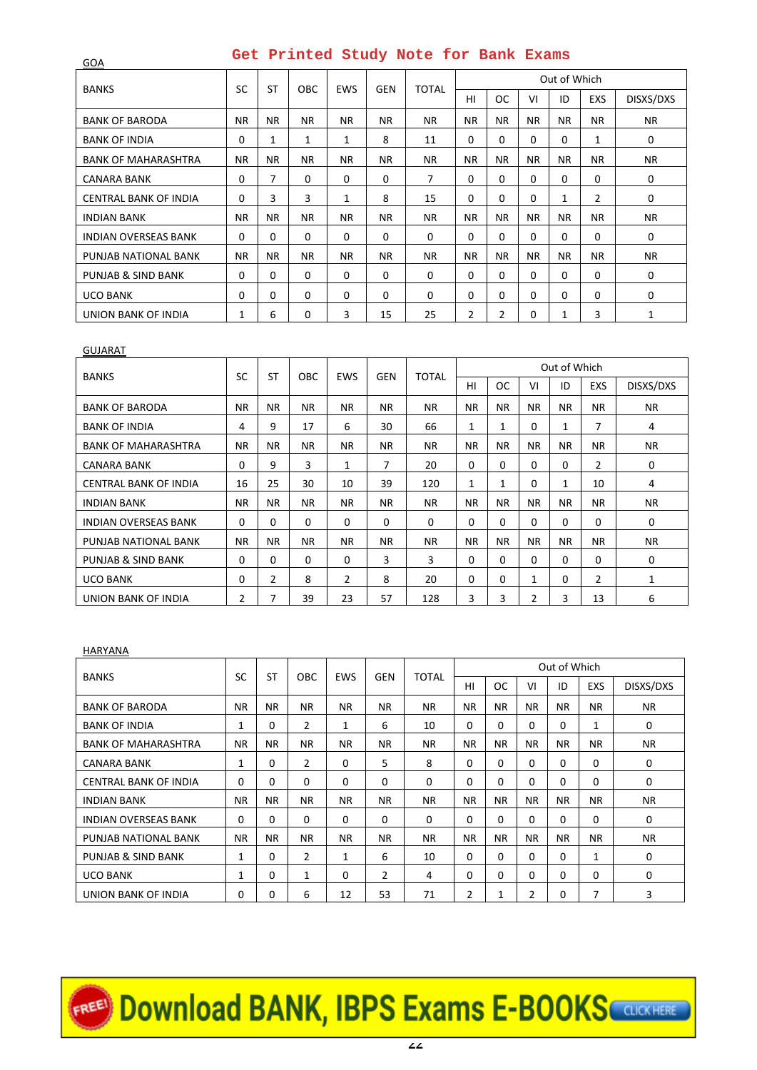| <b>BANKS</b>                 | <b>SC</b>   | <b>ST</b> | <b>OBC</b> | <b>EWS</b> | <b>GEN</b> | <b>TOTAL</b> |             |             |           | Out of Which |                |             |
|------------------------------|-------------|-----------|------------|------------|------------|--------------|-------------|-------------|-----------|--------------|----------------|-------------|
|                              |             |           |            |            |            |              | HI          | <b>OC</b>   | VI        | ID           | <b>EXS</b>     | DISXS/DXS   |
| <b>BANK OF BARODA</b>        | <b>NR</b>   | NR.       | NR.        | NR.        | <b>NR</b>  | NR.          | <b>NR</b>   | <b>NR</b>   | <b>NR</b> | <b>NR</b>    | <b>NR</b>      | <b>NR</b>   |
| <b>BANK OF INDIA</b>         | $\mathbf 0$ | 1         | 1          | 1          | 8          | 11           | $\mathbf 0$ | 0           | 0         | $\Omega$     | 1              | $\mathbf 0$ |
| <b>BANK OF MAHARASHTRA</b>   | <b>NR</b>   | NR.       | NR.        | NR.        | <b>NR</b>  | <b>NR</b>    | NR.         | <b>NR</b>   | <b>NR</b> | <b>NR</b>    | NR.            | <b>NR</b>   |
| CANARA BANK                  | 0           | 7         | 0          | 0          | $\Omega$   | 7            | $\mathbf 0$ | 0           | $\Omega$  | $\Omega$     | $\Omega$       | $\mathbf 0$ |
| <b>CENTRAL BANK OF INDIA</b> | $\mathbf 0$ | 3         | 3          | 1          | 8          | 15           | $\mathbf 0$ | $\Omega$    | 0         | 1            | $\overline{2}$ | $\mathbf 0$ |
| <b>INDIAN BANK</b>           | NR.         | NR.       | NR.        | NR.        | <b>NR</b>  | <b>NR</b>    | NR.         | <b>NR</b>   | <b>NR</b> | <b>NR</b>    | NR.            | <b>NR</b>   |
| <b>INDIAN OVERSEAS BANK</b>  | $\Omega$    | $\Omega$  | $\Omega$   | 0          | $\Omega$   | $\Omega$     | $\Omega$    | $\Omega$    | $\Omega$  | $\Omega$     | $\Omega$       | $\mathbf 0$ |
| PUNJAB NATIONAL BANK         | NR.         | NR.       | NR.        | NR.        | <b>NR</b>  | <b>NR</b>    | NR.         | <b>NR</b>   | NR.       | <b>NR</b>    | NR.            | <b>NR</b>   |
| PUNJAB & SIND BANK           | $\mathbf 0$ | 0         | 0          | 0          | 0          | $\mathbf 0$  | $\mathbf 0$ | $\mathbf 0$ | $\Omega$  | $\Omega$     | $\Omega$       | 0           |
| <b>UCO BANK</b>              | $\mathbf 0$ | 0         | 0          | 0          | 0          | $\mathbf 0$  | $\mathbf 0$ | 0           | 0         | $\Omega$     | $\Omega$       | $\mathbf 0$ |
| UNION BANK OF INDIA          | 1           | 6         | 0          | 3          | 15         | 25           | 2           | 2           | 0         | 1            | 3              | 1           |

#### GUJARAT

GOA

|                              |             |                |             |                |            |              |             |           |                | Out of Which |                |             |
|------------------------------|-------------|----------------|-------------|----------------|------------|--------------|-------------|-----------|----------------|--------------|----------------|-------------|
| <b>BANKS</b>                 | SC          | <b>ST</b>      | <b>OBC</b>  | <b>EWS</b>     | <b>GEN</b> | <b>TOTAL</b> | HI          | ОC        | VI             | ID           | <b>EXS</b>     | DISXS/DXS   |
| <b>BANK OF BARODA</b>        | <b>NR</b>   | <b>NR</b>      | <b>NR</b>   | NR.            | <b>NR</b>  | NR.          | <b>NR</b>   | <b>NR</b> | <b>NR</b>      | NR.          | <b>NR</b>      | NR.         |
| <b>BANK OF INDIA</b>         | 4           | 9              | 17          | 6              | 30         | 66           | 1           | 1         | $\Omega$       | 1            | 7              | 4           |
| <b>BANK OF MAHARASHTRA</b>   | ΝR          | ΝR             | NR.         | <b>NR</b>      | <b>NR</b>  | NR.          | <b>NR</b>   | <b>NR</b> | <b>NR</b>      | NR.          | NR.            | NR.         |
| <b>CANARA BANK</b>           | $\Omega$    | 9              | 3           | 1              | 7          | 20           | 0           | 0         | $\Omega$       | $\Omega$     | $\overline{2}$ | $\mathbf 0$ |
| <b>CENTRAL BANK OF INDIA</b> | 16          | 25             | 30          | 10             | 39         | 120          | 1           | 1         | $\Omega$       | 1            | 10             | 4           |
| <b>INDIAN BANK</b>           | NR.         | <b>NR</b>      | <b>NR</b>   | NR.            | <b>NR</b>  | NR.          | <b>NR</b>   | <b>NR</b> | <b>NR</b>      | <b>NR</b>    | NR.            | NR.         |
| <b>INDIAN OVERSEAS BANK</b>  | $\mathbf 0$ | 0              | $\mathbf 0$ | 0              | $\Omega$   | $\mathbf 0$  | $\mathbf 0$ | 0         | $\Omega$       | $\Omega$     | $\Omega$       | 0           |
| PUNJAB NATIONAL BANK         | <b>NR</b>   | <b>NR</b>      | <b>NR</b>   | NR.            | NR.        | NR.          | <b>NR</b>   | <b>NR</b> | <b>NR</b>      | <b>NR</b>    | <b>NR</b>      | <b>NR</b>   |
| PUNJAB & SIND BANK           | $\mathbf 0$ | 0              | 0           | 0              | 3          | 3            | $\mathbf 0$ | 0         | 0              | $\Omega$     | 0              | 0           |
| <b>UCO BANK</b>              | $\mathbf 0$ | $\overline{2}$ | 8           | $\overline{2}$ | 8          | 20           | $\mathbf 0$ | 0         | 1              | $\Omega$     | $\overline{2}$ | 1           |
| UNION BANK OF INDIA          | 2           | 7              | 39          | 23             | 57         | 128          | 3           | 3         | $\overline{2}$ | 3            | 13             | 6           |

### HARYANA

| <b>BANKS</b>                | <b>SC</b>   | <b>ST</b>   | <b>OBC</b>     | <b>EWS</b> | <b>GEN</b>     | TOTAL       |             |           |                | Out of Which |            |           |
|-----------------------------|-------------|-------------|----------------|------------|----------------|-------------|-------------|-----------|----------------|--------------|------------|-----------|
|                             |             |             |                |            |                |             | HI          | <b>OC</b> | VI             | ID           | <b>EXS</b> | DISXS/DXS |
| <b>BANK OF BARODA</b>       | <b>NR</b>   | <b>NR</b>   | NR.            | <b>NR</b>  | <b>NR</b>      | NR.         | ΝR          | <b>NR</b> | NR.            | NR.          | <b>NR</b>  | <b>NR</b> |
| <b>BANK OF INDIA</b>        | 1           | 0           | $\overline{2}$ | 1          | 6              | 10          | $\mathbf 0$ | 0         | $\Omega$       | $\Omega$     | 1          | 0         |
| <b>BANK OF MAHARASHTRA</b>  | <b>NR</b>   | <b>NR</b>   | NR.            | NR.        | <b>NR</b>      | NR.         | NR.         | <b>NR</b> | <b>NR</b>      | NR.          | <b>NR</b>  | NR.       |
| <b>CANARA BANK</b>          | 1           | $\mathbf 0$ | $\overline{2}$ | 0          | 5              | 8           | $\mathbf 0$ | $\Omega$  | $\Omega$       | $\Omega$     | $\Omega$   | 0         |
| CENTRAL BANK OF INDIA       | $\mathbf 0$ | $\Omega$    | $\mathbf 0$    | 0          | $\Omega$       | $\Omega$    | $\Omega$    | $\Omega$  | $\Omega$       | $\Omega$     | $\Omega$   | 0         |
| <b>INDIAN BANK</b>          | <b>NR</b>   | <b>NR</b>   | NR.            | NR.        | <b>NR</b>      | NR.         | NR.         | <b>NR</b> | <b>NR</b>      | NR.          | <b>NR</b>  | <b>NR</b> |
| <b>INDIAN OVERSEAS BANK</b> | $\mathbf 0$ | $\mathbf 0$ | $\mathbf 0$    | 0          | $\Omega$       | $\mathbf 0$ | $\mathbf 0$ | 0         | $\Omega$       | $\Omega$     | $\Omega$   | 0         |
| PUNJAB NATIONAL BANK        | <b>NR</b>   | NR.         | NR.            | NR.        | <b>NR</b>      | NR.         | <b>NR</b>   | <b>NR</b> | <b>NR</b>      | NR.          | <b>NR</b>  | <b>NR</b> |
| PUNJAB & SIND BANK          | 1           | 0           | $\overline{2}$ | 1          | 6              | 10          | $\mathbf 0$ | $\Omega$  | $\Omega$       | $\Omega$     | 1          | 0         |
| <b>UCO BANK</b>             | 1           | $\Omega$    | 1              | $\Omega$   | $\overline{2}$ | 4           | $\Omega$    | $\Omega$  | $\Omega$       | $\Omega$     | 0          | 0         |
| UNION BANK OF INDIA         | 0           | 0           | 6              | 12         | 53             | 71          | 2           | 1         | $\overline{2}$ | $\Omega$     | 7          | 3         |

# EREE<sup>D</sup> Download BANK, IBPS Exams E-BOOKS COURCHERE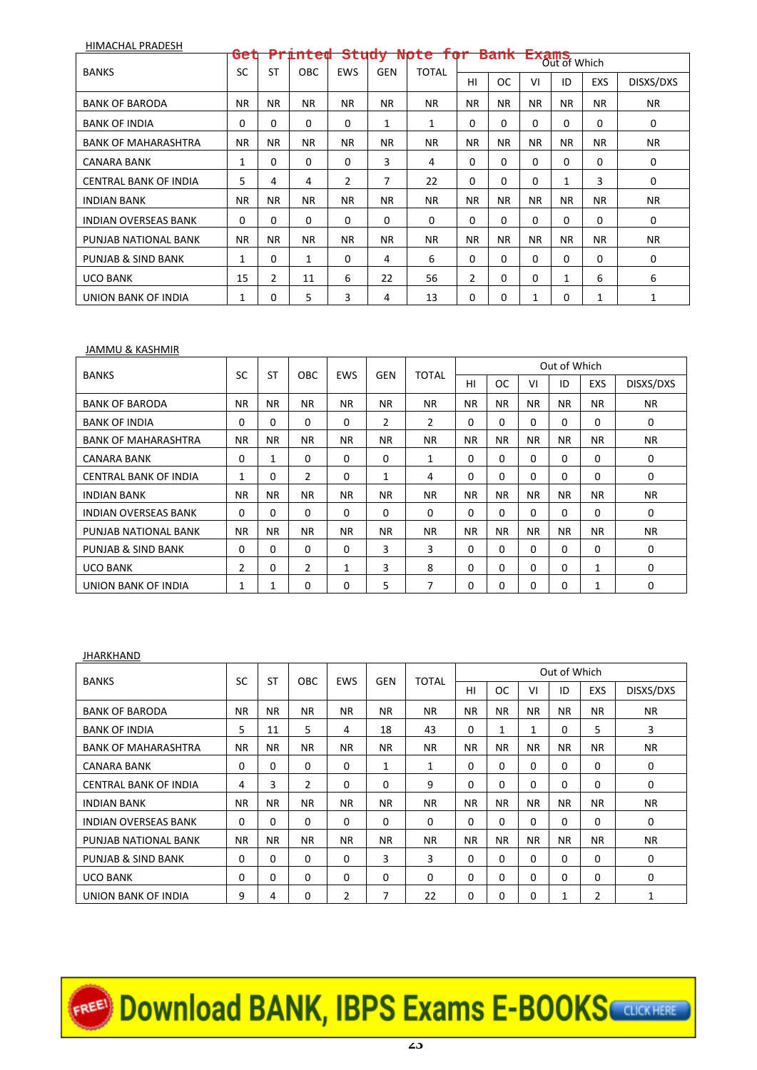| HIMACHAL PRADESH             |           |           |           |              |            |           |                |           |                   |              |            |             |
|------------------------------|-----------|-----------|-----------|--------------|------------|-----------|----------------|-----------|-------------------|--------------|------------|-------------|
|                              | Get       |           | Printed   | <b>Study</b> |            | Note for  |                |           | <b>Bank Exams</b> | Out of Which |            |             |
| <b>BANKS</b>                 | SC        | <b>ST</b> | OBC.      | <b>EWS</b>   | <b>GEN</b> | TOTAL     | HI             | ОC        | VI                | ID           | <b>EXS</b> | DISXS/DXS   |
| <b>BANK OF BARODA</b>        | <b>NR</b> | <b>NR</b> | <b>NR</b> | <b>NR</b>    | <b>NR</b>  | <b>NR</b> | <b>NR</b>      | <b>NR</b> | <b>NR</b>         | <b>NR</b>    | <b>NR</b>  | <b>NR</b>   |
| <b>BANK OF INDIA</b>         | 0         | 0         | $\Omega$  | 0            | 1          | 1         | 0              | 0         | 0                 | $\Omega$     | $\Omega$   | 0           |
| <b>BANK OF MAHARASHTRA</b>   | <b>NR</b> | <b>NR</b> | NR.       | <b>NR</b>    | <b>NR</b>  | <b>NR</b> | <b>NR</b>      | <b>NR</b> | <b>NR</b>         | <b>NR</b>    | <b>NR</b>  | <b>NR</b>   |
| CANARA BANK                  | 1         | 0         | $\Omega$  | 0            | 3          | 4         | 0              | 0         | 0                 | $\Omega$     | $\Omega$   | 0           |
| <b>CENTRAL BANK OF INDIA</b> | 5         | 4         | 4         | 2            | 7          | 22        | 0              | 0         | 0                 | 1            | 3          | $\mathbf 0$ |
| <b>INDIAN BANK</b>           | <b>NR</b> | <b>NR</b> | NR.       | <b>NR</b>    | <b>NR</b>  | <b>NR</b> | <b>NR</b>      | <b>NR</b> | <b>NR</b>         | <b>NR</b>    | <b>NR</b>  | <b>NR</b>   |
| <b>INDIAN OVERSEAS BANK</b>  | 0         | 0         | 0         | 0            | 0          | $\Omega$  | 0              | 0         | 0                 | $\Omega$     | $\Omega$   | 0           |
| PUNJAB NATIONAL BANK         | <b>NR</b> | <b>NR</b> | NR.       | <b>NR</b>    | <b>NR</b>  | <b>NR</b> | <b>NR</b>      | <b>NR</b> | <b>NR</b>         | <b>NR</b>    | <b>NR</b>  | <b>NR</b>   |
| PUNJAB & SIND BANK           | 1         | 0         | 1         | 0            | 4          | 6         | $\mathbf 0$    | 0         | 0                 | $\Omega$     | $\Omega$   | 0           |
| <b>UCO BANK</b>              | 15        | 2         | 11        | 6            | 22         | 56        | $\overline{2}$ | 0         | 0                 | 1            | 6          | 6           |
| UNION BANK OF INDIA          | 1         | 0         | 5         | 3            | 4          | 13        | $\mathbf 0$    | 0         | 1                 | 0            | 1          | 1           |

#### JAMMU & KASHMIR

| <b>BANKS</b>                 | <b>SC</b>      | <b>ST</b> | <b>OBC</b> | <b>EWS</b> | <b>GEN</b>     | <b>TOTAL</b>   |             |           |           | Out of Which |            |             |
|------------------------------|----------------|-----------|------------|------------|----------------|----------------|-------------|-----------|-----------|--------------|------------|-------------|
|                              |                |           |            |            |                |                | H1          | <b>OC</b> | VI        | ID           | <b>EXS</b> | DISXS/DXS   |
| <b>BANK OF BARODA</b>        | <b>NR</b>      | NR.       | <b>NR</b>  | NR.        | <b>NR</b>      | NR.            | <b>NR</b>   | <b>NR</b> | <b>NR</b> | <b>NR</b>    | <b>NR</b>  | <b>NR</b>   |
| <b>BANK OF INDIA</b>         | $\mathbf 0$    | 0         | 0          | 0          | $\overline{2}$ | $\overline{2}$ | 0           | 0         | $\Omega$  | 0            | 0          | 0           |
| <b>BANK OF MAHARASHTRA</b>   | <b>NR</b>      | ΝR        | ΝR         | <b>NR</b>  | <b>NR</b>      | <b>NR</b>      | NR.         | NR.       | NR.       | NR.          | <b>NR</b>  | <b>NR</b>   |
| <b>CANARA BANK</b>           | 0              | 1         | $\Omega$   | 0          | $\Omega$       | 1              | 0           | $\Omega$  | $\Omega$  | 0            | $\Omega$   | 0           |
| <b>CENTRAL BANK OF INDIA</b> | 1              | 0         | 2          | 0          | $\mathbf{1}$   | 4              | 0           | 0         | $\Omega$  | 0            | $\Omega$   | $\mathbf 0$ |
| <b>INDIAN BANK</b>           | <b>NR</b>      | <b>NR</b> | NR.        | NR.        | <b>NR</b>      | <b>NR</b>      | <b>NR</b>   | NR.       | <b>NR</b> | NR.          | <b>NR</b>  | <b>NR</b>   |
| <b>INDIAN OVERSEAS BANK</b>  | 0              | 0         | 0          | 0          | 0              | $\mathbf 0$    | 0           | $\Omega$  | $\Omega$  | $\Omega$     | $\Omega$   | 0           |
| PUNJAB NATIONAL BANK         | NR.            | NR.       | NR.        | NR.        | NR.            | NR.            | NR.         | <b>NR</b> | NR.       | NR.          | <b>NR</b>  | <b>NR</b>   |
| PUNJAB & SIND BANK           | $\mathbf 0$    | 0         | $\Omega$   | 0          | 3              | 3              | $\mathbf 0$ | 0         | $\Omega$  | 0            | $\Omega$   | 0           |
| <b>UCO BANK</b>              | $\overline{2}$ | $\Omega$  | 2          | 1          | 3              | 8              | $\Omega$    | 0         | $\Omega$  | $\Omega$     | 1          | 0           |
| UNION BANK OF INDIA          | 1              | 1         | $\Omega$   | $\Omega$   | 5              | 7              | $\Omega$    | 0         | $\Omega$  | 0            | 1          | 0           |

### **JHARKHAND**

| <b>BANKS</b>                 | SC          | <b>ST</b>    | <b>OBC</b>     | <b>EWS</b>     | <b>GEN</b>   | TOTAL       |             |           |           | Out of Which |     |              |
|------------------------------|-------------|--------------|----------------|----------------|--------------|-------------|-------------|-----------|-----------|--------------|-----|--------------|
|                              |             |              |                |                |              |             | HI          | <b>OC</b> | VI        | ID           | EXS | DISXS/DXS    |
| <b>BANK OF BARODA</b>        | <b>NR</b>   | <b>NR</b>    | NR.            | NR.            | <b>NR</b>    | <b>NR</b>   | <b>NR</b>   | <b>NR</b> | <b>NR</b> | NR.          | NR. | <b>NR</b>    |
| <b>BANK OF INDIA</b>         | 5           | 11           | 5              | 4              | 18           | 43          | $\mathbf 0$ | 1         | 1         | 0            | 5   | 3            |
| <b>BANK OF MAHARASHTRA</b>   | <b>NR</b>   | NR.          | NR.            | NR.            | NR.          | <b>NR</b>   | NR.         | <b>NR</b> | NR.       | NR.          | NR. | <b>NR</b>    |
| <b>CANARA BANK</b>           | $\mathbf 0$ | $\mathbf{0}$ | $\mathbf 0$    | 0              | $\mathbf{1}$ | 1           | $\mathbf 0$ | $\Omega$  | $\Omega$  | 0            | 0   | 0            |
| <b>CENTRAL BANK OF INDIA</b> | 4           | 3            | $\overline{2}$ | 0              | $\Omega$     | 9           | $\Omega$    | $\Omega$  | $\Omega$  | 0            | 0   | 0            |
| <b>INDIAN BANK</b>           | <b>NR</b>   | NR.          | NR.            | NR.            | <b>NR</b>    | <b>NR</b>   | NR.         | <b>NR</b> | <b>NR</b> | NR.          | NR. | <b>NR</b>    |
| <b>INDIAN OVERSEAS BANK</b>  | $\mathbf 0$ | 0            | $\mathbf 0$    | 0              | 0            | $\mathbf 0$ | 0           | $\Omega$  | $\Omega$  | 0            | 0   | 0            |
| PUNJAB NATIONAL BANK         | NR.         | NR.          | NR.            | NR.            | NR.          | NR.         | <b>NR</b>   | <b>NR</b> | NR.       | NR.          | NR. | <b>NR</b>    |
| PUNJAB & SIND BANK           | $\mathbf 0$ | $\Omega$     | $\Omega$       | 0              | 3            | 3           | $\Omega$    | $\Omega$  | $\Omega$  | 0            | 0   | 0            |
| <b>UCO BANK</b>              | 0           | 0            | $\Omega$       | 0              | $\Omega$     | $\Omega$    | 0           | 0         | $\Omega$  | $\Omega$     | 0   | 0            |
| UNION BANK OF INDIA          | 9           | 4            | $\Omega$       | $\overline{2}$ | 7            | 22          | $\Omega$    | 0         | $\Omega$  | 1            | 2   | $\mathbf{1}$ |

EREE Download BANK, IBPS Exams E-BOOKS CUCKHERE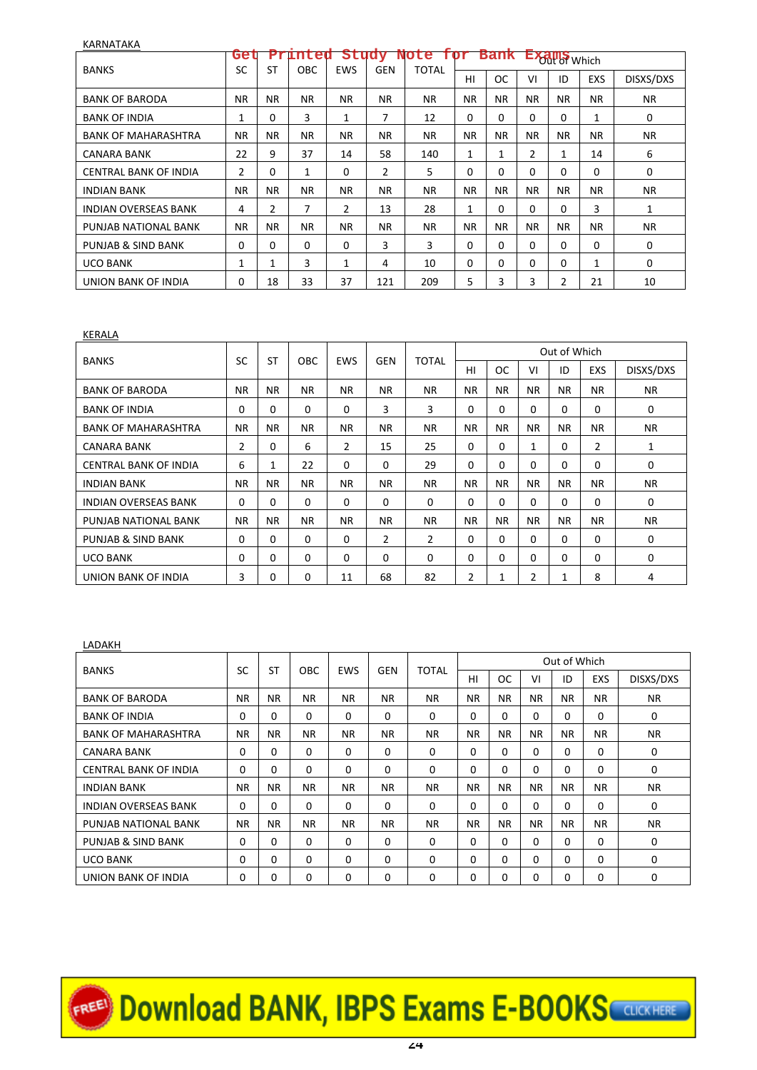| <b>NANIVATANA</b>            |                |                |            |                |            |              |            |             |           |                    |            |           |
|------------------------------|----------------|----------------|------------|----------------|------------|--------------|------------|-------------|-----------|--------------------|------------|-----------|
|                              | Get            |                | Printed    | Study          |            | <b>NOTE</b>  | <b>ror</b> | <b>Bank</b> |           | <b>EXAMS</b> Which |            |           |
| <b>BANKS</b>                 | SC             | ST             | <b>OBC</b> | <b>EWS</b>     | <b>GEN</b> | <b>TOTAL</b> | HI         | <b>OC</b>   | VI        | ID                 | <b>EXS</b> | DISXS/DXS |
| <b>BANK OF BARODA</b>        | <b>NR</b>      | <b>NR</b>      | <b>NR</b>  | ΝR             | <b>NR</b>  | <b>NR</b>    | <b>NR</b>  | <b>NR</b>   | <b>NR</b> | <b>NR</b>          | <b>NR</b>  | <b>NR</b> |
| <b>BANK OF INDIA</b>         | 1              | 0              | 3          | 1              | 7          | 12           | $\Omega$   | $\Omega$    | 0         | 0                  | 1          | 0         |
| <b>BANK OF MAHARASHTRA</b>   | <b>NR</b>      | NR.            | <b>NR</b>  | NR.            | <b>NR</b>  | <b>NR</b>    | <b>NR</b>  | <b>NR</b>   | NR.       | <b>NR</b>          | <b>NR</b>  | <b>NR</b> |
| <b>CANARA BANK</b>           | 22             | 9              | 37         | 14             | 58         | 140          | 1          | 1           | 2         | 1                  | 14         | 6         |
| <b>CENTRAL BANK OF INDIA</b> | $\overline{c}$ | 0              | 1          | 0              | 2          | 5            | 0          | 0           | 0         | 0                  | 0          | 0         |
| <b>INDIAN BANK</b>           | ΝR             | NR.            | <b>NR</b>  | NR.            | <b>NR</b>  | <b>NR</b>    | <b>NR</b>  | NR.         | NR.       | <b>NR</b>          | <b>NR</b>  | <b>NR</b> |
| <b>INDIAN OVERSEAS BANK</b>  | 4              | $\overline{2}$ | 7          | $\overline{2}$ | 13         | 28           | 1          | $\Omega$    | 0         | 0                  | 3          | 1         |
| PUNJAB NATIONAL BANK         | ΝR             | NR.            | <b>NR</b>  | NR.            | <b>NR</b>  | <b>NR</b>    | <b>NR</b>  | <b>NR</b>   | <b>NR</b> | <b>NR</b>          | <b>NR</b>  | <b>NR</b> |
| PUNJAB & SIND BANK           | 0              | 0              | 0          | 0              | 3          | 3            | 0          | $\Omega$    | 0         | 0                  | 0          | 0         |
| <b>UCO BANK</b>              | 1              | 1              | 3          | 1              | 4          | 10           | 0          | $\mathbf 0$ | 0         | 0                  | 1          | 0         |
| UNION BANK OF INDIA          | $\mathbf 0$    | 18             | 33         | 37             | 121        | 209          | 5          | 3           | 3         | 2                  | 21         | 10        |

KERALA

KARNATAKA

|                              | SC             | <b>ST</b> |             |            |                | <b>TOTAL</b>   |                |           |           | Out of Which |            |             |
|------------------------------|----------------|-----------|-------------|------------|----------------|----------------|----------------|-----------|-----------|--------------|------------|-------------|
| <b>BANKS</b>                 |                |           | <b>OBC</b>  | <b>EWS</b> | <b>GEN</b>     |                | HI             | <b>OC</b> | VI        | ID           | <b>EXS</b> | DISXS/DXS   |
| <b>BANK OF BARODA</b>        | <b>NR</b>      | <b>NR</b> | NR.         | NR.        | <b>NR</b>      | <b>NR</b>      | <b>NR</b>      | <b>NR</b> | <b>NR</b> | NR.          | NR.        | NR.         |
| <b>BANK OF INDIA</b>         | 0              | 0         | $\mathbf 0$ | 0          | 3              | 3              | 0              | $\Omega$  | $\Omega$  | $\Omega$     | $\Omega$   | 0           |
| <b>BANK OF MAHARASHTRA</b>   | <b>NR</b>      | <b>NR</b> | NR.         | <b>NR</b>  | <b>NR</b>      | NR.            | <b>NR</b>      | <b>NR</b> | <b>NR</b> | <b>NR</b>    | <b>NR</b>  | <b>NR</b>   |
| <b>CANARA BANK</b>           | $\overline{2}$ | 0         | 6           | 2          | 15             | 25             | 0              | 0         | 1         | 0            | 2          | 1           |
| <b>CENTRAL BANK OF INDIA</b> | 6              | 1         | 22          | $\Omega$   | $\Omega$       | 29             | $\Omega$       | $\Omega$  | $\Omega$  | $\Omega$     | $\Omega$   | $\mathbf 0$ |
| <b>INDIAN BANK</b>           | <b>NR</b>      | <b>NR</b> | <b>NR</b>   | <b>NR</b>  | <b>NR</b>      | <b>NR</b>      | <b>NR</b>      | <b>NR</b> | <b>NR</b> | <b>NR</b>    | <b>NR</b>  | <b>NR</b>   |
| <b>INDIAN OVERSEAS BANK</b>  | 0              | 0         | $\Omega$    | 0          | $\Omega$       | $\mathbf 0$    | $\mathbf 0$    | $\Omega$  | $\Omega$  | $\Omega$     | $\Omega$   | 0           |
| PUNJAB NATIONAL BANK         | <b>NR</b>      | <b>NR</b> | NR.         | NR.        | <b>NR</b>      | <b>NR</b>      | <b>NR</b>      | <b>NR</b> | NR.       | NR.          | <b>NR</b>  | <b>NR</b>   |
| PUNJAB & SIND BANK           | $\Omega$       | 0         | $\Omega$    | $\Omega$   | $\overline{2}$ | $\overline{2}$ | $\Omega$       | $\Omega$  | $\Omega$  | 0            | $\Omega$   | $\mathbf 0$ |
| <b>UCO BANK</b>              | $\Omega$       | 0         | $\Omega$    | 0          | $\Omega$       | $\mathbf 0$    | 0              | 0         | $\Omega$  | 0            | $\Omega$   | 0           |
| UNION BANK OF INDIA          | 3              | 0         | $\Omega$    | 11         | 68             | 82             | $\overline{2}$ | 1         | 2         | 1            | 8          | 4           |

### LADAKH

| <b>BANKS</b>                 | SC          | <b>ST</b> | <b>OBC</b> | EWS       | <b>GEN</b> | <b>TOTAL</b> |             |           |           | Out of Which |            |             |
|------------------------------|-------------|-----------|------------|-----------|------------|--------------|-------------|-----------|-----------|--------------|------------|-------------|
|                              |             |           |            |           |            |              | HI          | ОC        | VI        | ID           | <b>EXS</b> | DISXS/DXS   |
| <b>BANK OF BARODA</b>        | <b>NR</b>   | <b>NR</b> | ΝR         | <b>NR</b> | <b>NR</b>  | NR.          | <b>NR</b>   | <b>NR</b> | <b>NR</b> | NR.          | NR.        | <b>NR</b>   |
| <b>BANK OF INDIA</b>         | 0           | 0         | $\Omega$   | 0         | $\Omega$   | $\Omega$     | $\Omega$    | 0         | $\Omega$  | $\Omega$     | $\Omega$   | 0           |
| <b>BANK OF MAHARASHTRA</b>   | NR.         | <b>NR</b> | NR.        | <b>NR</b> | <b>NR</b>  | NR.          | NR.         | <b>NR</b> | <b>NR</b> | NR.          | NR.        | <b>NR</b>   |
| CANARA BANK                  | 0           | 0         | $\Omega$   | $\Omega$  | $\Omega$   | $\Omega$     | $\Omega$    | 0         | $\Omega$  | $\Omega$     | $\Omega$   | $\mathbf 0$ |
| <b>CENTRAL BANK OF INDIA</b> | 0           | $\Omega$  | $\Omega$   | 0         | $\Omega$   | $\Omega$     | $\Omega$    | 0         | $\Omega$  | $\Omega$     | $\Omega$   | $\mathbf 0$ |
| <b>INDIAN BANK</b>           | NR.         | <b>NR</b> | <b>NR</b>  | <b>NR</b> | <b>NR</b>  | <b>NR</b>    | <b>NR</b>   | <b>NR</b> | <b>NR</b> | NR.          | NR.        | <b>NR</b>   |
| <b>INDIAN OVERSEAS BANK</b>  | $\mathbf 0$ | 0         | 0          | $\Omega$  | 0          | 0            | $\mathbf 0$ | 0         | $\Omega$  | $\Omega$     | $\Omega$   | $\mathbf 0$ |
| PUNJAB NATIONAL BANK         | NR.         | <b>NR</b> | <b>NR</b>  | <b>NR</b> | <b>NR</b>  | NR.          | <b>NR</b>   | <b>NR</b> | <b>NR</b> | NR.          | NR.        | <b>NR</b>   |
| PUNJAB & SIND BANK           | 0           | $\Omega$  | 0          | 0         | 0          | $\Omega$     | $\Omega$    | 0         | $\Omega$  | $\Omega$     | $\Omega$   | $\mathbf 0$ |
| <b>UCO BANK</b>              | $\Omega$    | 0         | $\Omega$   | 0         | 0          | $\Omega$     | $\Omega$    | 0         | $\Omega$  | $\Omega$     | $\Omega$   | $\Omega$    |
| UNION BANK OF INDIA          | $\Omega$    | 0         | $\Omega$   | 0         | 0          | $\Omega$     | $\Omega$    | 0         | $\Omega$  | $\Omega$     | $\Omega$   | $\Omega$    |

# EREE Download BANK, IBPS Exams E-BOOKS CUCKHERE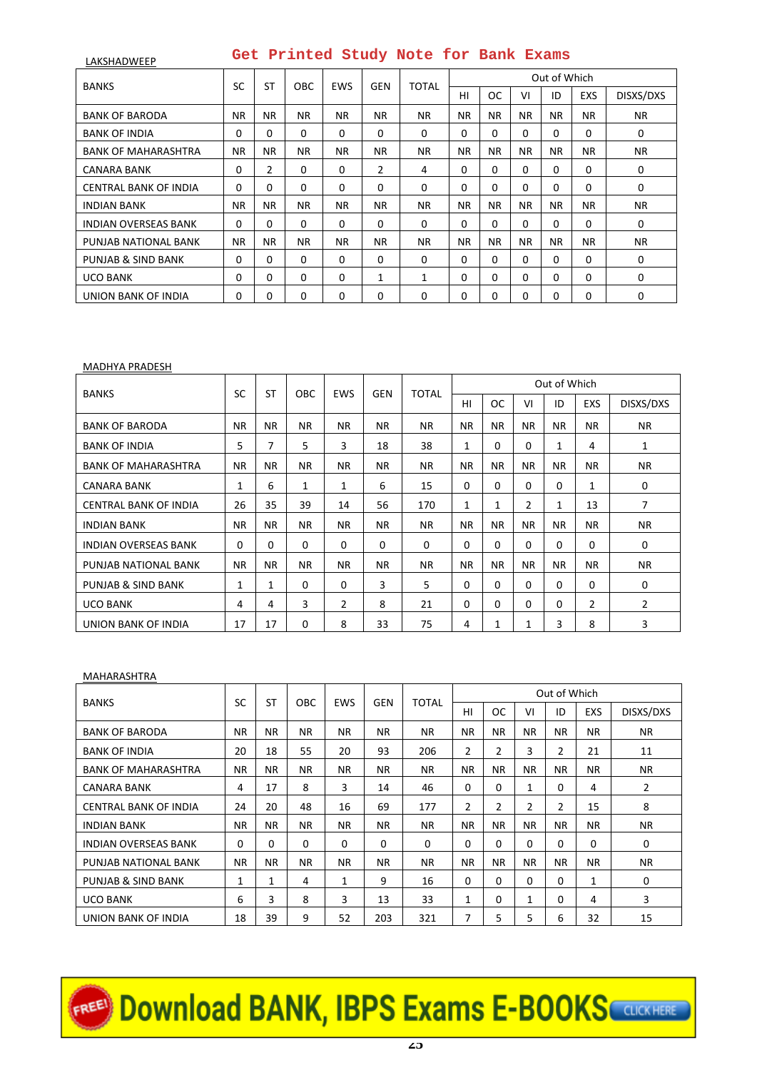| LAKSHADWEEP                  | Get Printed Study Note for Bank Exams |           |             |            |                |              |           |             |           |              |            |             |  |
|------------------------------|---------------------------------------|-----------|-------------|------------|----------------|--------------|-----------|-------------|-----------|--------------|------------|-------------|--|
|                              | SC                                    | <b>ST</b> |             | <b>EWS</b> | <b>GEN</b>     | <b>TOTAL</b> |           |             |           | Out of Which |            |             |  |
| <b>BANKS</b>                 |                                       |           | <b>OBC</b>  |            |                |              | HI        | <b>OC</b>   | VI        | ID           | <b>EXS</b> | DISXS/DXS   |  |
| <b>BANK OF BARODA</b>        | NR.                                   | NR.       | NR.         | NR.        | NR.            | <b>NR</b>    | NR.       | NR.         | <b>NR</b> | <b>NR</b>    | <b>NR</b>  | <b>NR</b>   |  |
| <b>BANK OF INDIA</b>         | 0                                     | $\Omega$  | $\Omega$    | $\Omega$   | 0              | $\Omega$     | 0         | $\Omega$    | 0         | $\Omega$     | $\Omega$   | 0           |  |
| <b>BANK OF MAHARASHTRA</b>   | NR.                                   | NR.       | NR.         | NR.        | NR.            | <b>NR</b>    | NR.       | NR.         | <b>NR</b> | <b>NR</b>    | <b>NR</b>  | <b>NR</b>   |  |
| <b>CANARA BANK</b>           | 0                                     | 2         | 0           | 0          | $\overline{2}$ | 4            | 0         | $\mathbf 0$ | 0         | 0            | 0          | 0           |  |
| <b>CENTRAL BANK OF INDIA</b> | $\mathbf 0$                           | 0         | $\Omega$    | $\Omega$   | 0              | $\Omega$     | $\Omega$  | $\Omega$    | 0         | $\Omega$     | $\Omega$   | $\mathbf 0$ |  |
| <b>INDIAN BANK</b>           | <b>NR</b>                             | NR.       | NR.         | NR.        | NR.            | <b>NR</b>    | <b>NR</b> | <b>NR</b>   | <b>NR</b> | <b>NR</b>    | <b>NR</b>  | <b>NR</b>   |  |
| <b>INDIAN OVERSEAS BANK</b>  | $\mathbf 0$                           | $\Omega$  | $\Omega$    | $\Omega$   | 0              | $\Omega$     | 0         | $\Omega$    | 0         | $\Omega$     | $\Omega$   | 0           |  |
| PUNJAB NATIONAL BANK         | <b>NR</b>                             | <b>NR</b> | NR.         | <b>NR</b>  | <b>NR</b>      | <b>NR</b>    | <b>NR</b> | <b>NR</b>   | <b>NR</b> | <b>NR</b>    | <b>NR</b>  | <b>NR</b>   |  |
| PUNJAB & SIND BANK           | $\mathbf 0$                           | $\Omega$  | $\Omega$    | $\Omega$   | 0              | $\Omega$     | 0         | $\Omega$    | 0         | $\Omega$     | $\Omega$   | 0           |  |
| <b>UCO BANK</b>              | $\mathbf 0$                           | $\Omega$  | $\mathbf 0$ | $\Omega$   | 1              | $\mathbf{1}$ | $\Omega$  | $\mathbf 0$ | 0         | $\Omega$     | $\Omega$   | 0           |  |
| UNION BANK OF INDIA          | 0                                     | 0         | $\Omega$    | 0          | 0              | $\Omega$     | $\Omega$  | $\Omega$    | 0         | $\Omega$     | $\Omega$   | 0           |  |

#### MADHYA PRADESH

| <b>BANKS</b>                | SC          | <b>ST</b>    | <b>OBC</b>   | <b>EWS</b>     | <b>GEN</b> | TOTAL       |             |           |                | Out of Which |            |             |
|-----------------------------|-------------|--------------|--------------|----------------|------------|-------------|-------------|-----------|----------------|--------------|------------|-------------|
|                             |             |              |              |                |            |             | HI          | <b>OC</b> | VI             | ID           | <b>EXS</b> | DISXS/DXS   |
| <b>BANK OF BARODA</b>       | <b>NR</b>   | <b>NR</b>    | NR.          | <b>NR</b>      | <b>NR</b>  | <b>NR</b>   | <b>NR</b>   | <b>NR</b> | <b>NR</b>      | <b>NR</b>    | NR.        | NR.         |
| <b>BANK OF INDIA</b>        | 5           | 7            | 5            | 3              | 18         | 38          | 1           | 0         | 0              | $\mathbf{1}$ | 4          | 1           |
| <b>BANK OF MAHARASHTRA</b>  | NR.         | <b>NR</b>    | NR.          | <b>NR</b>      | NR.        | <b>NR</b>   | <b>NR</b>   | <b>NR</b> | <b>NR</b>      | <b>NR</b>    | <b>NR</b>  | NR.         |
| <b>CANARA BANK</b>          | 1           | 6            | 1            | 1              | 6          | 15          | $\mathbf 0$ | 0         | $\Omega$       | $\Omega$     | 1          | 0           |
| CENTRAL BANK OF INDIA       | 26          | 35           | 39           | 14             | 56         | 170         | 1           | 1         | $\overline{2}$ | $\mathbf{1}$ | 13         | 7           |
| <b>INDIAN BANK</b>          | NR.         | NR.          | <b>NR</b>    | <b>NR</b>      | <b>NR</b>  | <b>NR</b>   | <b>NR</b>   | <b>NR</b> | <b>NR</b>      | <b>NR</b>    | NR.        | NR.         |
| <b>INDIAN OVERSEAS BANK</b> | $\mathbf 0$ | $\mathbf 0$  | $\mathbf{0}$ | $\Omega$       | 0          | $\mathbf 0$ | $\mathbf 0$ | 0         | $\Omega$       | $\Omega$     | $\Omega$   | $\mathbf 0$ |
| PUNJAB NATIONAL BANK        | <b>NR</b>   | <b>NR</b>    | NR.          | NR.            | <b>NR</b>  | <b>NR</b>   | <b>NR</b>   | <b>NR</b> | <b>NR</b>      | <b>NR</b>    | NR.        | NR.         |
| PUNJAB & SIND BANK          | 1           | $\mathbf{1}$ | $\Omega$     | $\Omega$       | 3          | 5           | $\Omega$    | 0         | $\Omega$       | $\Omega$     | $\Omega$   | $\mathbf 0$ |
| <b>UCO BANK</b>             | 4           | 4            | 3            | $\overline{2}$ | 8          | 21          | $\Omega$    | 0         | 0              | $\Omega$     | 2          | 2           |
| UNION BANK OF INDIA         | 17          | 17           | 0            | 8              | 33         | 75          | 4           | 1         | 1              | 3            | 8          | 3           |

# MAHARASHTRA

|                              | SC           | <b>ST</b>   | OBC         | <b>EWS</b>   | <b>GEN</b> | <b>TOTAL</b> |                |                |                | Out of Which   |           |           |
|------------------------------|--------------|-------------|-------------|--------------|------------|--------------|----------------|----------------|----------------|----------------|-----------|-----------|
| <b>BANKS</b>                 |              |             |             |              |            |              | HI             | <b>OC</b>      | VI             | ID             | EXS       | DISXS/DXS |
| <b>BANK OF BARODA</b>        | <b>NR</b>    | <b>NR</b>   | <b>NR</b>   | <b>NR</b>    | <b>NR</b>  | <b>NR</b>    | NR.            | <b>NR</b>      | <b>NR</b>      | NR.            | NR.       | NR.       |
| <b>BANK OF INDIA</b>         | 20           | 18          | 55          | 20           | 93         | 206          | $\overline{2}$ | 2              | 3              | $\overline{2}$ | 21        | 11        |
| <b>BANK OF MAHARASHTRA</b>   | NR.          | <b>NR</b>   | NR.         | NR.          | <b>NR</b>  | <b>NR</b>    | NR.            | <b>NR</b>      | <b>NR</b>      | <b>NR</b>      | NR.       | NR.       |
| <b>CANARA BANK</b>           | 4            | 17          | 8           | 3            | 14         | 46           | $\mathbf 0$    | 0              | 1              | $\Omega$       | 4         | 2         |
| <b>CENTRAL BANK OF INDIA</b> | 24           | 20          | 48          | 16           | 69         | 177          | 2              | $\overline{2}$ | $\overline{2}$ | $\overline{2}$ | 15        | 8         |
| <b>INDIAN BANK</b>           | <b>NR</b>    | NR.         | NR.         | <b>NR</b>    | <b>NR</b>  | <b>NR</b>    | NR.            | <b>NR</b>      | <b>NR</b>      | <b>NR</b>      | <b>NR</b> | NR.       |
| <b>INDIAN OVERSEAS BANK</b>  | $\mathbf 0$  | $\mathbf 0$ | $\mathbf 0$ | $\Omega$     | 0          | $\mathbf 0$  | $\mathbf 0$    | 0              | $\Omega$       | $\Omega$       | $\Omega$  | 0         |
| PUNJAB NATIONAL BANK         | <b>NR</b>    | <b>NR</b>   | NR.         | <b>NR</b>    | <b>NR</b>  | <b>NR</b>    | <b>NR</b>      | <b>NR</b>      | <b>NR</b>      | <b>NR</b>      | <b>NR</b> | <b>NR</b> |
| PUNJAB & SIND BANK           | $\mathbf{1}$ | 1           | 4           | $\mathbf{1}$ | 9          | 16           | $\Omega$       | 0              | $\Omega$       | $\Omega$       | 1         | 0         |
| <b>UCO BANK</b>              | 6            | 3           | 8           | 3            | 13         | 33           | 1              | 0              | 1              | $\Omega$       | 4         | 3         |
| UNION BANK OF INDIA          | 18           | 39          | 9           | 52           | 203        | 321          | 7              | 5              | 5              | 6              | 32        | 15        |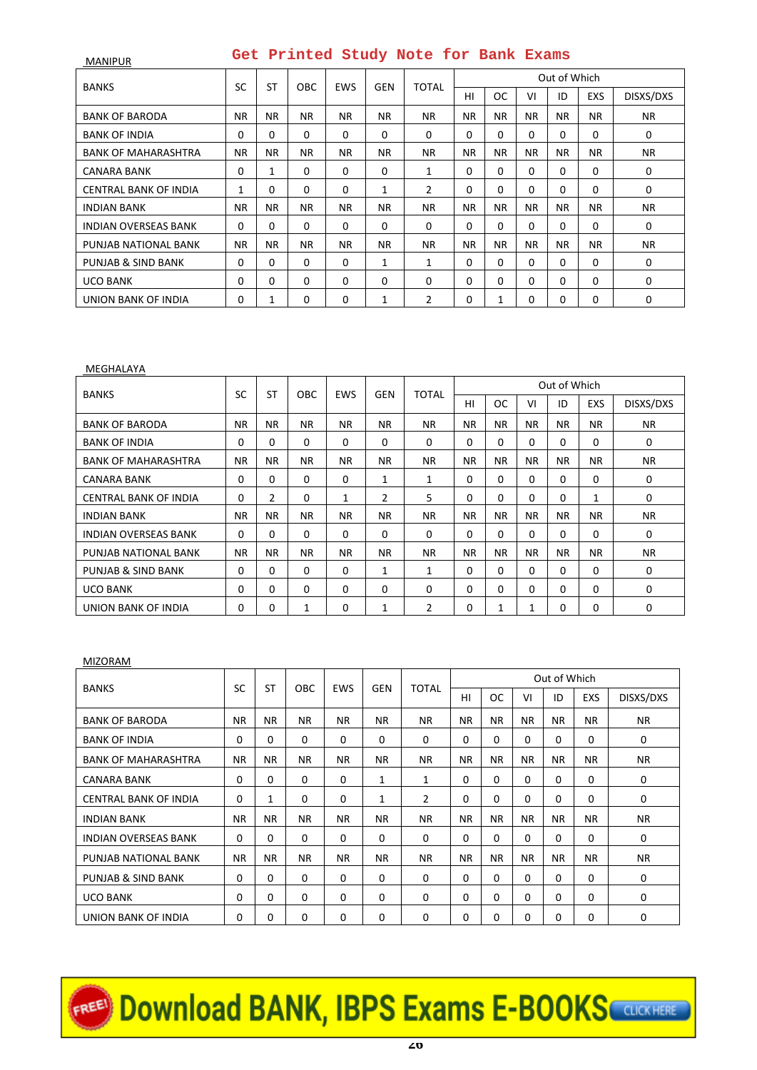| <b>MANIPUR</b>               |           |           |             |            |            | Get Printed Study Note for Bank Exams |             |           |           |              |            |           |
|------------------------------|-----------|-----------|-------------|------------|------------|---------------------------------------|-------------|-----------|-----------|--------------|------------|-----------|
| <b>BANKS</b>                 | <b>SC</b> | <b>ST</b> | OBC.        | <b>EWS</b> | <b>GEN</b> | <b>TOTAL</b>                          |             |           |           | Out of Which |            |           |
|                              |           |           |             |            |            |                                       | HI          | <b>OC</b> | VI        | ID           | <b>EXS</b> | DISXS/DXS |
| <b>BANK OF BARODA</b>        | <b>NR</b> | <b>NR</b> | NR.         | NR.        | NR.        | <b>NR</b>                             | <b>NR</b>   | <b>NR</b> | <b>NR</b> | NR.          | NR.        | <b>NR</b> |
| <b>BANK OF INDIA</b>         | $\Omega$  | 0         | $\Omega$    | $\Omega$   | $\Omega$   | $\Omega$                              | $\Omega$    | $\Omega$  | $\Omega$  | $\Omega$     | $\Omega$   | 0         |
| <b>BANK OF MAHARASHTRA</b>   | <b>NR</b> | <b>NR</b> | NR.         | NR.        | NR.        | <b>NR</b>                             | <b>NR</b>   | <b>NR</b> | NR.       | NR.          | <b>NR</b>  | <b>NR</b> |
| CANARA BANK                  | 0         | 1         | $\Omega$    | 0          | 0          | 1                                     | $\Omega$    | $\Omega$  | $\Omega$  | $\Omega$     | $\Omega$   | 0         |
| <b>CENTRAL BANK OF INDIA</b> | 1         | 0         | 0           | $\Omega$   | 1          | 2                                     | 0           | $\Omega$  | $\Omega$  | $\Omega$     | $\Omega$   | 0         |
| <b>INDIAN BANK</b>           | <b>NR</b> | <b>NR</b> | NR.         | NR.        | ΝR         | <b>NR</b>                             | <b>NR</b>   | NR.       | <b>NR</b> | NR.          | <b>NR</b>  | NR.       |
| <b>INDIAN OVERSEAS BANK</b>  | 0         | 0         | 0           | $\Omega$   | $\Omega$   | $\Omega$                              | $\Omega$    | $\Omega$  | 0         | $\Omega$     | $\Omega$   | 0         |
| PUNJAB NATIONAL BANK         | <b>NR</b> | <b>NR</b> | NR.         | NR.        | NR.        | <b>NR</b>                             | <b>NR</b>   | <b>NR</b> | <b>NR</b> | NR.          | <b>NR</b>  | NR.       |
| PUNJAB & SIND BANK           | $\Omega$  | 0         | $\Omega$    | 0          | 1          | 1                                     | $\Omega$    | $\Omega$  | $\Omega$  | $\Omega$     | $\Omega$   | 0         |
| <b>UCO BANK</b>              | 0         | 0         | $\mathbf 0$ | $\Omega$   | $\Omega$   | $\Omega$                              | $\mathbf 0$ | $\Omega$  | $\Omega$  | $\Omega$     | $\Omega$   | 0         |
| UNION BANK OF INDIA          | 0         | 1         | 0           | 0          | 1          | 2                                     | 0           | 1         | 0         | 0            | 0          | 0         |

#### MEGHALAYA

| <b>BANKS</b>                | SC          | ST             | <b>OBC</b> | <b>EWS</b> | <b>GEN</b>     | <b>TOTAL</b> |             |           |           | Out of Which |              |             |
|-----------------------------|-------------|----------------|------------|------------|----------------|--------------|-------------|-----------|-----------|--------------|--------------|-------------|
|                             |             |                |            |            |                |              | HI          | <b>OC</b> | VI        | ID           | <b>EXS</b>   | DISXS/DXS   |
| <b>BANK OF BARODA</b>       | <b>NR</b>   | <b>NR</b>      | <b>NR</b>  | <b>NR</b>  | <b>NR</b>      | <b>NR</b>    | <b>NR</b>   | <b>NR</b> | <b>NR</b> | <b>NR</b>    | <b>NR</b>    | <b>NR</b>   |
| <b>BANK OF INDIA</b>        | $\Omega$    | 0              | $\Omega$   | 0          | $\Omega$       | $\Omega$     | $\Omega$    | 0         | $\Omega$  | $\Omega$     | $\Omega$     | 0           |
| <b>BANK OF MAHARASHTRA</b>  | <b>NR</b>   | <b>NR</b>      | <b>NR</b>  | NR.        | <b>NR</b>      | <b>NR</b>    | <b>NR</b>   | <b>NR</b> | <b>NR</b> | <b>NR</b>    | <b>NR</b>    | <b>NR</b>   |
| CANARA BANK                 | 0           | $\Omega$       | $\Omega$   | $\Omega$   | 1              | 1            | $\Omega$    | $\Omega$  | $\Omega$  | $\Omega$     | $\Omega$     | 0           |
| CENTRAL BANK OF INDIA       | $\mathbf 0$ | $\overline{2}$ | $\Omega$   | 1          | $\overline{2}$ | 5            | $\Omega$    | $\Omega$  | $\Omega$  | $\Omega$     | $\mathbf{1}$ | $\mathbf 0$ |
| <b>INDIAN BANK</b>          | <b>NR</b>   | <b>NR</b>      | NR.        | NR.        | ΝR             | <b>NR</b>    | <b>NR</b>   | <b>NR</b> | <b>NR</b> | NR.          | NR.          | NR.         |
| <b>INDIAN OVERSEAS BANK</b> | $\mathbf 0$ | $\mathbf 0$    | 0          | $\Omega$   | 0              | 0            | $\mathbf 0$ | 0         | $\Omega$  | $\Omega$     | $\Omega$     | 0           |
| PUNJAB NATIONAL BANK        | <b>NR</b>   | <b>NR</b>      | NR.        | NR.        | <b>NR</b>      | <b>NR</b>    | <b>NR</b>   | <b>NR</b> | <b>NR</b> | <b>NR</b>    | NR.          | <b>NR</b>   |
| PUNJAB & SIND BANK          | $\Omega$    | 0              | $\Omega$   | $\Omega$   | 1              | $\mathbf{1}$ | $\Omega$    | 0         | $\Omega$  | $\Omega$     | $\Omega$     | $\Omega$    |
| <b>UCO BANK</b>             | $\Omega$    | 0              | $\Omega$   | 0          | $\Omega$       | $\Omega$     | $\Omega$    | $\Omega$  | $\Omega$  | $\Omega$     | $\Omega$     | $\Omega$    |
| UNION BANK OF INDIA         | 0           | 0              | 1          | 0          | 1              | 2            | $\mathbf 0$ | 1         | 1         | $\Omega$     | $\Omega$     | $\Omega$    |

### MIZORAM

|                              | SC          | <b>ST</b> | OBC.        | <b>EWS</b> | <b>GEN</b> | <b>TOTAL</b>   |             |             |           | Out of Which |            |              |
|------------------------------|-------------|-----------|-------------|------------|------------|----------------|-------------|-------------|-----------|--------------|------------|--------------|
| <b>BANKS</b>                 |             |           |             |            |            |                | HI          | <b>OC</b>   | VI        | ID           | <b>EXS</b> | DISXS/DXS    |
| <b>BANK OF BARODA</b>        | <b>NR</b>   | <b>NR</b> | NR.         | NR.        | NR.        | NR.            | <b>NR</b>   | <b>NR</b>   | <b>NR</b> | <b>NR</b>    | NR.        | NR.          |
| <b>BANK OF INDIA</b>         | 0           | 0         | 0           | 0          | $\Omega$   | 0              | 0           | 0           | $\Omega$  | $\Omega$     | 0          | 0            |
| <b>BANK OF MAHARASHTRA</b>   | NR.         | <b>NR</b> | NR.         | NR.        | NR.        | <b>NR</b>      | NR.         | <b>NR</b>   | <b>NR</b> | NR.          | NR.        | NR.          |
| <b>CANARA BANK</b>           | $\mathbf 0$ | 0         | $\mathbf 0$ | 0          | 1          | 1              | $\mathbf 0$ | $\Omega$    | $\Omega$  | $\Omega$     | 0          | 0            |
| <b>CENTRAL BANK OF INDIA</b> | $\mathbf 0$ | 1         | $\Omega$    | 0          | 1          | $\overline{2}$ | $\mathbf 0$ | $\Omega$    | $\Omega$  | 0            | $\Omega$   | $\mathbf{0}$ |
| <b>INDIAN BANK</b>           | <b>NR</b>   | <b>NR</b> | NR.         | NR.        | NR.        | <b>NR</b>      | NR.         | <b>NR</b>   | <b>NR</b> | NR.          | NR.        | NR.          |
| <b>INDIAN OVERSEAS BANK</b>  | $\mathbf 0$ | 0         | $\mathbf 0$ | 0          | 0          | $\mathbf 0$    | $\mathbf 0$ | 0           | $\Omega$  | $\Omega$     | 0          | 0            |
| PUNJAB NATIONAL BANK         | <b>NR</b>   | <b>NR</b> | <b>NR</b>   | NR.        | <b>NR</b>  | <b>NR</b>      | <b>NR</b>   | <b>NR</b>   | <b>NR</b> | <b>NR</b>    | <b>NR</b>  | <b>NR</b>    |
| PUNJAB & SIND BANK           | $\mathbf 0$ | 0         | 0           | 0          | $\Omega$   | $\Omega$       | $\mathbf 0$ | $\Omega$    | $\Omega$  | 0            | $\Omega$   | 0            |
| <b>UCO BANK</b>              | 0           | 0         | 0           | 0          | $\Omega$   | $\mathbf 0$    | $\mathbf 0$ | $\Omega$    | $\Omega$  | $\Omega$     | $\Omega$   | 0            |
| UNION BANK OF INDIA          | $\mathbf 0$ | 0         | $\mathbf 0$ | 0          | $\Omega$   | $\mathbf 0$    | 0           | $\mathbf 0$ | $\Omega$  | 0            | $\Omega$   | 0            |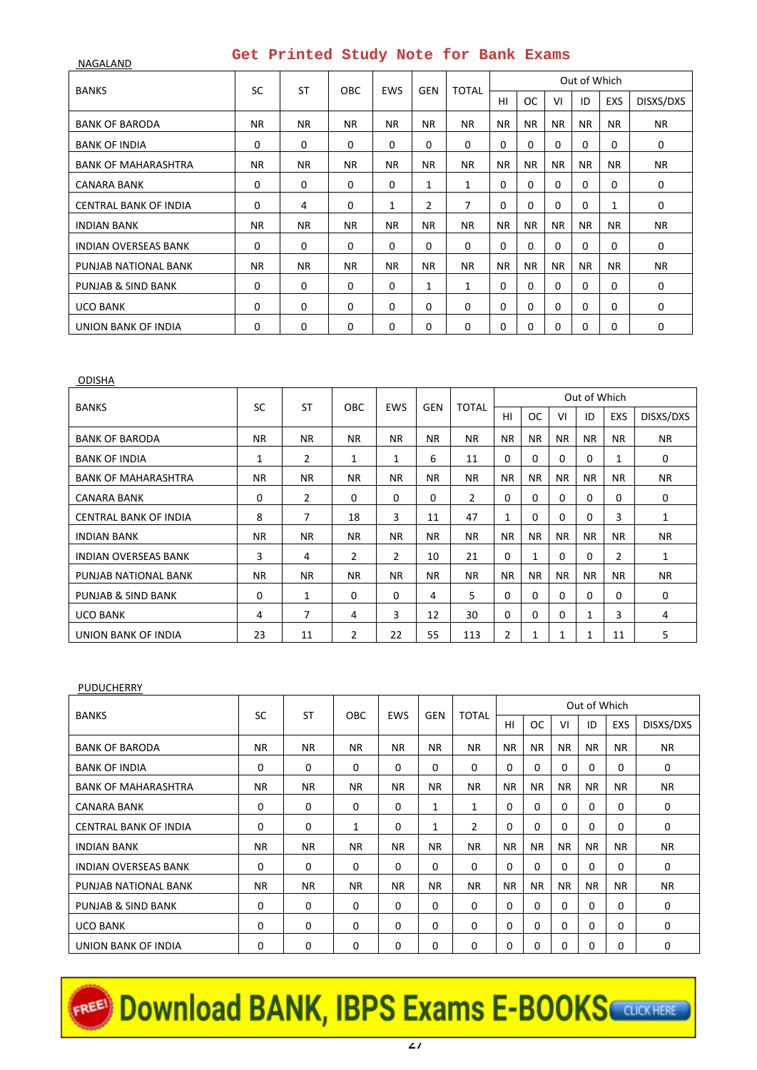| NAGALAND                     |             | Get frinced beaux note for bank badwe |             |              |            |              |             |           |           |              |              |             |
|------------------------------|-------------|---------------------------------------|-------------|--------------|------------|--------------|-------------|-----------|-----------|--------------|--------------|-------------|
| <b>BANKS</b>                 | <b>SC</b>   | <b>ST</b>                             | <b>OBC</b>  | <b>EWS</b>   | <b>GEN</b> | <b>TOTAL</b> |             |           |           | Out of Which |              |             |
|                              |             |                                       |             |              |            |              | HI          | <b>OC</b> | VI        | ID           | <b>EXS</b>   | DISXS/DXS   |
| <b>BANK OF BARODA</b>        | NR.         | <b>NR</b>                             | <b>NR</b>   | <b>NR</b>    | <b>NR</b>  | NR.          | NR.         | <b>NR</b> | <b>NR</b> | <b>NR</b>    | <b>NR</b>    | NR.         |
| <b>BANK OF INDIA</b>         | 0           | 0                                     | $\mathbf 0$ | $\mathbf 0$  | 0          | $\Omega$     | $\mathbf 0$ | $\Omega$  | $\Omega$  | $\Omega$     | $\Omega$     | 0           |
| <b>BANK OF MAHARASHTRA</b>   | <b>NR</b>   | <b>NR</b>                             | <b>NR</b>   | NR.          | NR.        | <b>NR</b>    | <b>NR</b>   | <b>NR</b> | <b>NR</b> | <b>NR</b>    | <b>NR</b>    | <b>NR</b>   |
| <b>CANARA BANK</b>           | 0           | 0                                     | $\Omega$    | $\Omega$     | 1          | 1            | $\mathbf 0$ | 0         | $\Omega$  | $\Omega$     | $\Omega$     | 0           |
| <b>CENTRAL BANK OF INDIA</b> | $\mathbf 0$ | 4                                     | $\Omega$    | $\mathbf{1}$ | 2          | 7            | 0           | $\Omega$  | $\Omega$  | $\Omega$     | $\mathbf{1}$ | 0           |
| <b>INDIAN BANK</b>           | <b>NR</b>   | <b>NR</b>                             | <b>NR</b>   | <b>NR</b>    | <b>NR</b>  | NR.          | <b>NR</b>   | <b>NR</b> | <b>NR</b> | <b>NR</b>    | <b>NR</b>    | <b>NR</b>   |
| <b>INDIAN OVERSEAS BANK</b>  | 0           | 0                                     | $\mathbf 0$ | $\Omega$     | 0          | $\Omega$     | 0           | $\Omega$  | $\Omega$  | $\Omega$     | $\Omega$     | $\mathbf 0$ |
| PUNJAB NATIONAL BANK         | <b>NR</b>   | <b>NR</b>                             | <b>NR</b>   | <b>NR</b>    | <b>NR</b>  | <b>NR</b>    | <b>NR</b>   | <b>NR</b> | <b>NR</b> | <b>NR</b>    | <b>NR</b>    | <b>NR</b>   |
| PUNJAB & SIND BANK           | $\mathbf 0$ | 0                                     | $\Omega$    | $\Omega$     | 1          | 1            | $\mathbf 0$ | $\Omega$  | $\Omega$  | $\mathbf 0$  | $\Omega$     | 0           |
| <b>UCO BANK</b>              | 0           | 0                                     | $\mathbf 0$ | $\mathbf 0$  | 0          | $\Omega$     | $\mathbf 0$ | $\Omega$  | $\Omega$  | $\mathbf 0$  | $\Omega$     | 0           |
| UNION BANK OF INDIA          | 0           | 0                                     | 0           | $\Omega$     | 0          | 0            | 0           | 0         | $\Omega$  | 0            | 0            | 0           |

| <b>ODISHA</b>                |           |                |                |                |            |              |           |           |           |              |           |             |
|------------------------------|-----------|----------------|----------------|----------------|------------|--------------|-----------|-----------|-----------|--------------|-----------|-------------|
| <b>BANKS</b>                 | SC        | <b>ST</b>      | <b>OBC</b>     | <b>EWS</b>     | <b>GEN</b> | <b>TOTAL</b> |           |           |           | Out of Which |           |             |
|                              |           |                |                |                |            |              | HI        | ОC        | VI        | ID           | EXS       | DISXS/DXS   |
| <b>BANK OF BARODA</b>        | <b>NR</b> | NR.            | <b>NR</b>      | <b>NR</b>      | <b>NR</b>  | <b>NR</b>    | NR.       | <b>NR</b> | <b>NR</b> | <b>NR</b>    | NR.       | NR.         |
| <b>BANK OF INDIA</b>         | 1         | $\overline{2}$ | 1              | 1              | 6          | 11           | 0         | 0         | $\Omega$  | $\Omega$     | 1         | $\mathbf 0$ |
| <b>BANK OF MAHARASHTRA</b>   | <b>NR</b> | NR.            | <b>NR</b>      | <b>NR</b>      | NR.        | NR.          | NR.       | <b>NR</b> | <b>NR</b> | <b>NR</b>    | NR.       | NR.         |
| CANARA BANK                  | 0         | $\overline{2}$ | $\Omega$       | $\Omega$       | $\Omega$   | 2            | 0         | 0         | $\Omega$  | $\Omega$     | 0         | $\mathbf 0$ |
| <b>CENTRAL BANK OF INDIA</b> | 8         | 7              | 18             | 3              | 11         | 47           | 1         | $\Omega$  | $\Omega$  | 0            | 3         | 1           |
| <b>INDIAN BANK</b>           | <b>NR</b> | NR.            | <b>NR</b>      | <b>NR</b>      | <b>NR</b>  | <b>NR</b>    | <b>NR</b> | <b>NR</b> | <b>NR</b> | <b>NR</b>    | NR.       | <b>NR</b>   |
| <b>INDIAN OVERSEAS BANK</b>  | 3         | 4              | $\overline{2}$ | $\overline{2}$ | 10         | 21           | 0         | 1         | $\Omega$  | 0            | 2         | 1           |
| PUNJAB NATIONAL BANK         | <b>NR</b> | NR.            | <b>NR</b>      | <b>NR</b>      | NR.        | <b>NR</b>    | NR.       | <b>NR</b> | <b>NR</b> | <b>NR</b>    | <b>NR</b> | NR.         |
| PUNJAB & SIND BANK           | 0         | 1              | $\Omega$       | $\Omega$       | 4          | 5.           | 0         | $\Omega$  | $\Omega$  | 0            | 0         | $\mathbf 0$ |
| <b>UCO BANK</b>              | 4         | 7              | 4              | 3              | 12         | 30           | 0         | $\Omega$  | $\Omega$  | 1            | 3         | 4           |
| UNION BANK OF INDIA          | 23        | 11             | $\overline{2}$ | 22             | 55         | 113          | 2         | 1         | 1         | 1            | 11        | 5           |

### PUDUCHERRY

| <b>BANKS</b>                 | SC        | <b>ST</b>   | <b>OBC</b>   | <b>EWS</b> | <b>GEN</b>   | <b>TOTAL</b>   |           |           |           | Out of Which |     |              |  |
|------------------------------|-----------|-------------|--------------|------------|--------------|----------------|-----------|-----------|-----------|--------------|-----|--------------|--|
|                              |           |             |              |            |              |                | HI        | <b>OC</b> | VI        | ID           | EXS | DISXS/DXS    |  |
| <b>BANK OF BARODA</b>        | <b>NR</b> | NR.         | <b>NR</b>    | <b>NR</b>  | NR.          | <b>NR</b>      | <b>NR</b> | <b>NR</b> | <b>NR</b> | <b>NR</b>    | NR. | <b>NR</b>    |  |
| <b>BANK OF INDIA</b>         | 0         | $\mathbf 0$ | $\Omega$     | $\Omega$   | $\Omega$     | $\Omega$       | $\Omega$  | $\Omega$  | $\Omega$  | $\Omega$     | 0   | $\mathbf{0}$ |  |
| <b>BANK OF MAHARASHTRA</b>   | <b>NR</b> | <b>NR</b>   | <b>NR</b>    | <b>NR</b>  | NR.          | <b>NR</b>      | <b>NR</b> | <b>NR</b> | <b>NR</b> | <b>NR</b>    | NR. | <b>NR</b>    |  |
| <b>CANARA BANK</b>           | 0         | $\mathbf 0$ | 0            | $\Omega$   | 1            | 1              | $\Omega$  | $\Omega$  | $\Omega$  | $\Omega$     | 0   | $\mathbf 0$  |  |
| <b>CENTRAL BANK OF INDIA</b> | $\Omega$  | $\Omega$    | $\mathbf{1}$ | $\Omega$   | $\mathbf{1}$ | $\overline{2}$ | $\Omega$  | $\Omega$  | $\Omega$  | $\Omega$     | 0   | $\Omega$     |  |
| <b>INDIAN BANK</b>           | <b>NR</b> | NR.         | <b>NR</b>    | <b>NR</b>  | NR.          | <b>NR</b>      | <b>NR</b> | <b>NR</b> | <b>NR</b> | <b>NR</b>    | NR. | <b>NR</b>    |  |
| <b>INDIAN OVERSEAS BANK</b>  | 0         | 0           | 0            | $\Omega$   | $\Omega$     | $\Omega$       | $\Omega$  | $\Omega$  | $\Omega$  | 0            | 0   | 0            |  |
| PUNJAB NATIONAL BANK         | <b>NR</b> | NR.         | <b>NR</b>    | <b>NR</b>  | <b>NR</b>    | <b>NR</b>      | <b>NR</b> | <b>NR</b> | <b>NR</b> | <b>NR</b>    | NR. | <b>NR</b>    |  |
| PUNJAB & SIND BANK           | 0         | 0           | $\Omega$     | $\Omega$   | $\Omega$     | $\Omega$       | $\Omega$  | $\Omega$  | $\Omega$  | 0            | 0   | 0            |  |
| <b>UCO BANK</b>              | 0         | $\Omega$    | $\Omega$     | $\Omega$   | $\Omega$     | $\Omega$       | $\Omega$  | $\Omega$  | $\Omega$  | $\Omega$     | 0   | $\Omega$     |  |
| UNION BANK OF INDIA          | 0         | $\Omega$    | $\Omega$     | $\Omega$   | $\Omega$     | $\Omega$       | $\Omega$  | $\Omega$  | $\Omega$  | 0            | 0   | 0            |  |

# EREE Download BANK, IBPS Exams E-BOOKS CONCRETE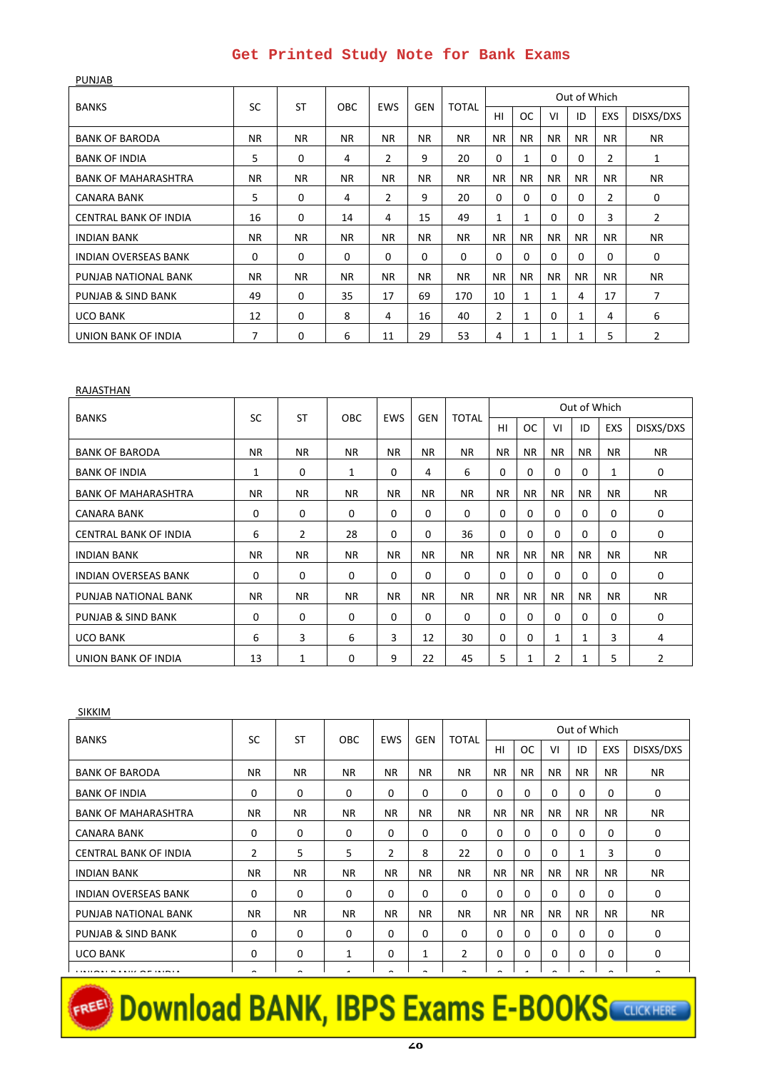| <b>BANKS</b>                 |     |           |            |                |            |              |                |              |           | Out of Which |                |                |
|------------------------------|-----|-----------|------------|----------------|------------|--------------|----------------|--------------|-----------|--------------|----------------|----------------|
|                              | SC  | <b>ST</b> | <b>OBC</b> | <b>EWS</b>     | <b>GEN</b> | <b>TOTAL</b> | HI             | <b>OC</b>    | VI        | ID           | EXS            | DISXS/DXS      |
| <b>BANK OF BARODA</b>        | NR. | <b>NR</b> | <b>NR</b>  | NR.            | <b>NR</b>  | NR.          | <b>NR</b>      | <b>NR</b>    | NR.       | NR.          | NR.            | NR.            |
| <b>BANK OF INDIA</b>         | 5   | 0         | 4          | $\overline{2}$ | 9          | 20           | $\Omega$       | 1            | $\Omega$  | $\Omega$     | 2              | 1              |
| <b>BANK OF MAHARASHTRA</b>   | NR. | <b>NR</b> | <b>NR</b>  | NR.            | <b>NR</b>  | <b>NR</b>    | <b>NR</b>      | <b>NR</b>    | <b>NR</b> | <b>NR</b>    | <b>NR</b>      | <b>NR</b>      |
| <b>CANARA BANK</b>           | 5   | $\Omega$  | 4          | $\overline{2}$ | 9          | 20           | $\Omega$       | 0            | $\Omega$  | $\Omega$     | $\overline{2}$ | $\Omega$       |
| <b>CENTRAL BANK OF INDIA</b> | 16  | $\Omega$  | 14         | 4              | 15         | 49           | 1              | $\mathbf{1}$ | $\Omega$  | 0            | 3              | $\overline{2}$ |
| <b>INDIAN BANK</b>           | NR. | <b>NR</b> | <b>NR</b>  | NR.            | <b>NR</b>  | NR.          | <b>NR</b>      | <b>NR</b>    | <b>NR</b> | <b>NR</b>    | NR.            | <b>NR</b>      |
| <b>INDIAN OVERSEAS BANK</b>  | 0   | 0         | 0          | 0              | $\Omega$   | $\Omega$     | $\Omega$       | $\Omega$     | $\Omega$  | $\Omega$     | $\Omega$       | 0              |
| PUNJAB NATIONAL BANK         | NR. | <b>NR</b> | <b>NR</b>  | <b>NR</b>      | <b>NR</b>  | NR.          | <b>NR</b>      | <b>NR</b>    | <b>NR</b> | <b>NR</b>    | NR.            | <b>NR</b>      |
| PUNJAB & SIND BANK           | 49  | 0         | 35         | 17             | 69         | 170          | 10             | $\mathbf{1}$ | 1         | 4            | 17             | 7              |
| <b>UCO BANK</b>              | 12  | $\Omega$  | 8          | 4              | 16         | 40           | $\overline{2}$ | $\mathbf{1}$ | $\Omega$  | $\mathbf{1}$ | 4              | 6              |
| UNION BANK OF INDIA          | 7   | $\Omega$  | 6          | 11             | 29         | 53           | 4              | $\mathbf{1}$ | 1         | 1            | 5              | 2              |

#### RAJASTHAN

PUNJAB

| <b>BANKS</b>                 |           |                |              |            |            |              |           |               |              | Out of Which |          |             |
|------------------------------|-----------|----------------|--------------|------------|------------|--------------|-----------|---------------|--------------|--------------|----------|-------------|
|                              | <b>SC</b> | <b>ST</b>      | <b>OBC</b>   | <b>EWS</b> | <b>GEN</b> | <b>TOTAL</b> | HI        | <sub>OC</sub> | VI           | ID           | EXS      | DISXS/DXS   |
| <b>BANK OF BARODA</b>        | <b>NR</b> | <b>NR</b>      | <b>NR</b>    | <b>NR</b>  | <b>NR</b>  | <b>NR</b>    | <b>NR</b> | <b>NR</b>     | <b>NR</b>    | <b>NR</b>    | NR.      | <b>NR</b>   |
| <b>BANK OF INDIA</b>         | 1         | 0              | $\mathbf{1}$ | $\Omega$   | 4          | 6            | $\Omega$  | $\Omega$      | $\Omega$     | $\Omega$     | 1        | 0           |
| <b>BANK OF MAHARASHTRA</b>   | <b>NR</b> | <b>NR</b>      | <b>NR</b>    | <b>NR</b>  | <b>NR</b>  | <b>NR</b>    | <b>NR</b> | <b>NR</b>     | NR.          | <b>NR</b>    | NR.      | <b>NR</b>   |
| CANARA BANK                  | 0         | $\Omega$       | $\Omega$     | $\Omega$   | $\Omega$   | $\Omega$     | $\Omega$  | $\Omega$      | $\Omega$     | $\Omega$     | $\Omega$ | $\Omega$    |
| <b>CENTRAL BANK OF INDIA</b> | 6         | $\overline{2}$ | 28           | $\Omega$   | $\Omega$   | 36           | $\Omega$  | $\Omega$      | $\Omega$     | $\Omega$     | $\Omega$ | $\Omega$    |
| <b>INDIAN BANK</b>           | <b>NR</b> | <b>NR</b>      | <b>NR</b>    | <b>NR</b>  | <b>NR</b>  | <b>NR</b>    | <b>NR</b> | NR.           | NR.          | <b>NR</b>    | NR.      | NR.         |
| <b>INDIAN OVERSEAS BANK</b>  | 0         | 0              | $\Omega$     | $\Omega$   | $\Omega$   | $\Omega$     | $\Omega$  | $\Omega$      | $\Omega$     | $\Omega$     | $\Omega$ | 0           |
| PUNJAB NATIONAL BANK         | <b>NR</b> | <b>NR</b>      | <b>NR</b>    | <b>NR</b>  | <b>NR</b>  | <b>NR</b>    | <b>NR</b> | NR.           | <b>NR</b>    | <b>NR</b>    | NR.      | <b>NR</b>   |
| PUNJAB & SIND BANK           | 0         | 0              | 0            | $\Omega$   | $\Omega$   | $\mathbf 0$  | $\Omega$  | $\Omega$      | $\Omega$     | $\Omega$     | $\Omega$ | $\mathbf 0$ |
| <b>UCO BANK</b>              | 6         | 3              | 6            | 3          | 12         | 30           | $\Omega$  | $\Omega$      | $\mathbf{1}$ | 1            | 3        | 4           |
| UNION BANK OF INDIA          | 13        | 1              | 0            | 9          | 22         | 45           | 5         | 1             | 2            | 1            | 5        | 2           |

| <b>SIKKIM</b>                |        |           |            |                |                          |              |                |           |                |              |           |                |
|------------------------------|--------|-----------|------------|----------------|--------------------------|--------------|----------------|-----------|----------------|--------------|-----------|----------------|
| <b>BANKS</b>                 | SC     | <b>ST</b> | <b>OBC</b> | <b>EWS</b>     | <b>GEN</b>               | <b>TOTAL</b> |                |           |                | Out of Which |           |                |
|                              |        |           |            |                |                          |              | HI             | <b>OC</b> | VI             | ID           | EXS       | DISXS/DXS      |
| <b>BANK OF BARODA</b>        | NR.    | <b>NR</b> | NR.        | <b>NR</b>      | NR.                      | <b>NR</b>    | <b>NR</b>      | NR.       | <b>NR</b>      | NR.          | <b>NR</b> | NR.            |
| <b>BANK OF INDIA</b>         | 0      | 0         | $\Omega$   | $\Omega$       | $\Omega$                 | $\Omega$     | $\Omega$       | $\Omega$  | $\Omega$       | 0            | 0         | 0              |
| <b>BANK OF MAHARASHTRA</b>   | NR.    | <b>NR</b> | <b>NR</b>  | <b>NR</b>      | NR.                      | <b>NR</b>    | <b>NR</b>      | NR.       | <b>NR</b>      | <b>NR</b>    | <b>NR</b> | <b>NR</b>      |
| <b>CANARA BANK</b>           | 0      | $\Omega$  | $\Omega$   | $\Omega$       | $\Omega$                 | $\Omega$     | $\Omega$       | $\Omega$  | $\Omega$       | $\Omega$     | $\Omega$  | 0              |
| <b>CENTRAL BANK OF INDIA</b> | 2      | 5         | 5.         | $\overline{2}$ | 8                        | 22           | $\Omega$       | $\Omega$  | $\Omega$       | 1            | 3         | $\Omega$       |
| <b>INDIAN BANK</b>           | NR.    | <b>NR</b> | <b>NR</b>  | <b>NR</b>      | <b>NR</b>                | <b>NR</b>    | NR.            | <b>NR</b> | <b>NR</b>      | <b>NR</b>    | NR.       | NR.            |
| <b>INDIAN OVERSEAS BANK</b>  | 0      | 0         | $\Omega$   | $\Omega$       | $\Omega$                 | $\Omega$     | $\Omega$       | $\Omega$  | $\Omega$       | $\Omega$     | $\Omega$  | $\Omega$       |
| PUNJAB NATIONAL BANK         | NR.    | <b>NR</b> | <b>NR</b>  | <b>NR</b>      | <b>NR</b>                | <b>NR</b>    | <b>NR</b>      | <b>NR</b> | <b>NR</b>      | <b>NR</b>    | <b>NR</b> | <b>NR</b>      |
| PUNJAB & SIND BANK           | 0      | $\Omega$  | $\Omega$   | $\Omega$       | $\Omega$                 | $\Omega$     | $\Omega$       | $\Omega$  | $\Omega$       | $\Omega$     | $\Omega$  | 0              |
| <b>UCO BANK</b>              | 0      | 0         | 1          | $\Omega$       | $\mathbf{1}$             | 2            | $\Omega$       | $\Omega$  | $\Omega$       | $\Omega$     | $\Omega$  | 0              |
| -------                      | $\sim$ | $\sim$    | ×          | $\sim$         | $\overline{\phantom{0}}$ | $\sim$       | $\overline{ }$ |           | $\overline{ }$ | $\sim$       | $\sim$    | $\overline{ }$ |

# EREE Download BANK, IBPS Exams E-BOOKS COLORATERE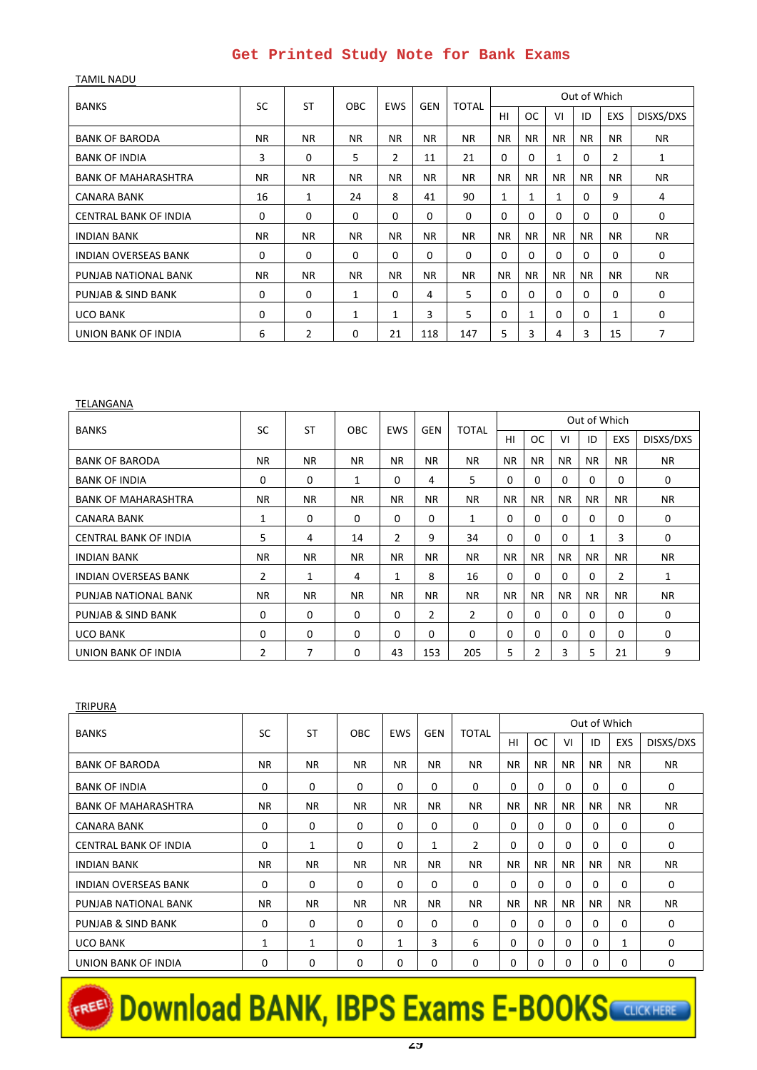TAMIL NADU BANKS SC ST OBC EWS GEN TOTAL Out of Which HI OC VI D EXS DISXS/DXS BANK OF BARODA NR NR NR NR NR NR NR NR NR NR NR NR BANK OF INDIA | 3 | 0 | 5 | 2 | 11 | 21 | 0 | 0 | 1 | 0 | 2 | 1 BANK OF MAHARASHTRA NR NR NR NR NR NR NR NR NR NR NR NR  $CANARA BANK$  16 1 24 8 41 90 1 1 1 0 9 4 CENTRAL BANK OF INDIA 0 0 0 0 0 0 0 0 0 0 0 0 INDIAN BANK NR NR NR NR NR NR NR NR NR NR NR NR INDIAN OVERSEAS BANK 0 0 0 0 0 0 0 0 0 0 0 0 PUNJAB NATIONAL BANK NR NR NR NR NR NR NR NR NR NR NR NR PUNJAB & SIND BANK 0 0 1 0 4 5 0 0 0 0 0 0 UCO BANK | 0 | 0 | 0 | 1 | 1 | 3 | 5 | 0 | 1 | 0 | 0 | 1 | 0 UNION BANK OF INDIA 6 2 0 21 118 147 5 3 4 3 15 7

| TELANGANA                    |                |              |            |            |            |                |           |           |           |              |           |              |
|------------------------------|----------------|--------------|------------|------------|------------|----------------|-----------|-----------|-----------|--------------|-----------|--------------|
| <b>BANKS</b>                 | <b>SC</b>      | <b>ST</b>    | <b>OBC</b> | <b>EWS</b> | <b>GEN</b> | <b>TOTAL</b>   |           |           |           | Out of Which |           |              |
|                              |                |              |            |            |            |                | HI        | <b>OC</b> | VI        | ID           | EXS       | DISXS/DXS    |
| <b>BANK OF BARODA</b>        | <b>NR</b>      | NR.          | <b>NR</b>  | <b>NR</b>  | <b>NR</b>  | NR.            | <b>NR</b> | <b>NR</b> | <b>NR</b> | <b>NR</b>    | NR.       | <b>NR</b>    |
| <b>BANK OF INDIA</b>         | 0              | $\mathbf 0$  | 1          | $\Omega$   | 4          | 5              | $\Omega$  | $\Omega$  | $\Omega$  | $\Omega$     | $\Omega$  | 0            |
| <b>BANK OF MAHARASHTRA</b>   | <b>NR</b>      | NR.          | <b>NR</b>  | <b>NR</b>  | <b>NR</b>  | NR.            | <b>NR</b> | <b>NR</b> | <b>NR</b> | <b>NR</b>    | NR.       | <b>NR</b>    |
| CANARA BANK                  | 1              | $\mathbf 0$  | 0          | $\Omega$   | $\Omega$   | 1              | $\Omega$  | $\Omega$  | $\Omega$  | $\Omega$     | 0         | $\Omega$     |
| <b>CENTRAL BANK OF INDIA</b> | 5              | 4            | 14         | 2          | 9          | 34             | $\Omega$  | $\Omega$  | $\Omega$  | $\mathbf{1}$ | 3         | 0            |
| <b>INDIAN BANK</b>           | <b>NR</b>      | NR.          | <b>NR</b>  | <b>NR</b>  | <b>NR</b>  | NR.            | <b>NR</b> | <b>NR</b> | <b>NR</b> | <b>NR</b>    | NR.       | <b>NR</b>    |
| <b>INDIAN OVERSEAS BANK</b>  | $\overline{2}$ | $\mathbf{1}$ | 4          | 1          | 8          | 16             | $\Omega$  | $\Omega$  | $\Omega$  | 0            | 2         | $\mathbf{1}$ |
| PUNJAB NATIONAL BANK         | <b>NR</b>      | NR.          | <b>NR</b>  | <b>NR</b>  | <b>NR</b>  | <b>NR</b>      | <b>NR</b> | <b>NR</b> | <b>NR</b> | <b>NR</b>    | <b>NR</b> | <b>NR</b>    |
| PUNJAB & SIND BANK           | 0              | 0            | 0          | $\Omega$   | 2          | $\overline{2}$ | $\Omega$  | $\Omega$  | $\Omega$  | $\Omega$     | $\Omega$  | 0            |
| <b>UCO BANK</b>              | $\Omega$       | $\Omega$     | 0          | $\Omega$   | $\Omega$   | $\Omega$       | $\Omega$  | $\Omega$  | $\Omega$  | 0            | 0         | $\Omega$     |
| UNION BANK OF INDIA          | 2              | 7            | 0          | 43         | 153        | 205            | 5         | 2         | 3         | 5            | 21        | 9            |

| <b>TRIPURA</b>              |           |           |              |              |            |              |             |           |           |              |           |           |
|-----------------------------|-----------|-----------|--------------|--------------|------------|--------------|-------------|-----------|-----------|--------------|-----------|-----------|
| <b>BANKS</b>                | SC        | <b>ST</b> | <b>OBC</b>   | <b>EWS</b>   | <b>GEN</b> | <b>TOTAL</b> |             |           |           | Out of Which |           |           |
|                             |           |           |              |              |            |              | HI          | <b>OC</b> | VI        | ID           | EXS       | DISXS/DXS |
| <b>BANK OF BARODA</b>       | <b>NR</b> | <b>NR</b> | NR.          | <b>NR</b>    | <b>NR</b>  | <b>NR</b>    | NR.         | <b>NR</b> | <b>NR</b> | <b>NR</b>    | <b>NR</b> | <b>NR</b> |
| <b>BANK OF INDIA</b>        | 0         | 0         | $\mathbf 0$  | $\Omega$     | 0          | 0            | $\mathbf 0$ | $\Omega$  | $\Omega$  | 0            | 0         | 0         |
| <b>BANK OF MAHARASHTRA</b>  | <b>NR</b> | <b>NR</b> | NR.          | <b>NR</b>    | <b>NR</b>  | <b>NR</b>    | <b>NR</b>   | <b>NR</b> | <b>NR</b> | <b>NR</b>    | <b>NR</b> | <b>NR</b> |
| CANARA BANK                 | 0         | 0         | $\mathbf 0$  | $\Omega$     | 0          | $\Omega$     | $\Omega$    | $\Omega$  | $\Omega$  | $\Omega$     | 0         | 0         |
| CENTRAL BANK OF INDIA       | 0         | 1         | $\mathbf{0}$ | $\Omega$     | 1          | 2            | $\Omega$    | $\Omega$  | $\Omega$  | $\Omega$     | $\Omega$  | 0         |
| <b>INDIAN BANK</b>          | <b>NR</b> | <b>NR</b> | NR.          | <b>NR</b>    | <b>NR</b>  | <b>NR</b>    | <b>NR</b>   | NR.       | <b>NR</b> | <b>NR</b>    | <b>NR</b> | <b>NR</b> |
| <b>INDIAN OVERSEAS BANK</b> | $\Omega$  | $\Omega$  | $\Omega$     | $\Omega$     | 0          | $\Omega$     | $\Omega$    | $\Omega$  | $\Omega$  | $\Omega$     | $\Omega$  | $\Omega$  |
| PUNJAB NATIONAL BANK        | <b>NR</b> | <b>NR</b> | NR.          | <b>NR</b>    | <b>NR</b>  | <b>NR</b>    | <b>NR</b>   | <b>NR</b> | <b>NR</b> | <b>NR</b>    | <b>NR</b> | <b>NR</b> |
| PUNJAB & SIND BANK          | 0         | 0         | $\mathbf 0$  | $\Omega$     | 0          | 0            | $\Omega$    | $\Omega$  | $\Omega$  | $\Omega$     | $\Omega$  | 0         |
| <b>UCO BANK</b>             | 1         | 1         | $\mathbf{0}$ | $\mathbf{1}$ | 3          | 6            | 0           | $\Omega$  | $\Omega$  | 0            | 1         | 0         |
| UNION BANK OF INDIA         | 0         | $\Omega$  | $\Omega$     | 0            | 0          | 0            | 0           | 0         | $\Omega$  | 0            | 0         | 0         |

# **FREED DOWNload BANK, IBPS Exams E-BOOKS**